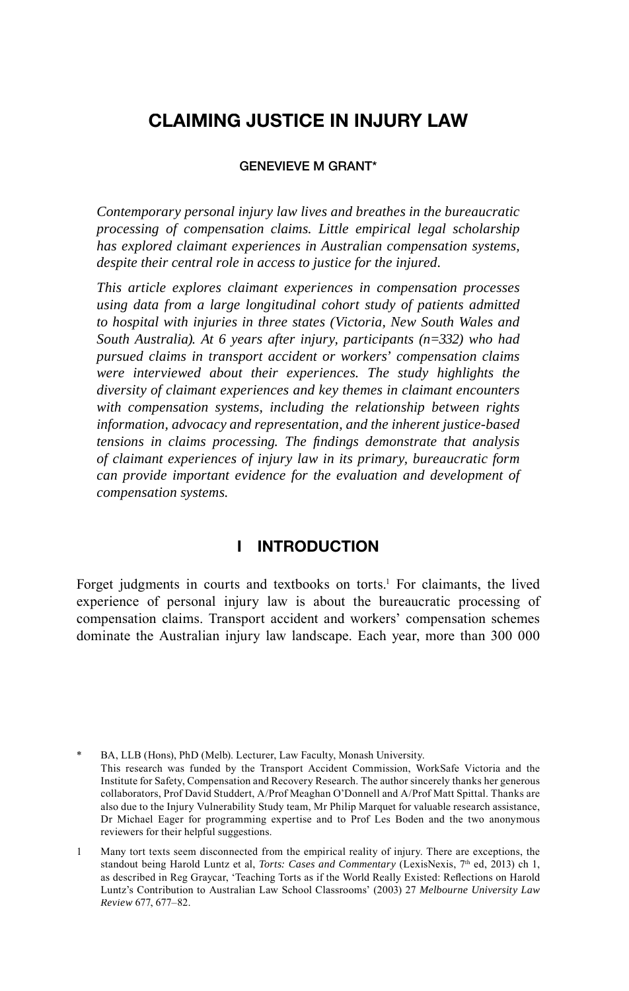# **CLAIMING JUSTICE IN INJURY LAW**

#### **GENEVIEVE M GRANT\***

*Contemporary personal injury law lives and breathes in the bureaucratic processing of compensation claims. Little empirical legal scholarship has explored claimant experiences in Australian compensation systems, despite their central role in access to justice for the injured.*

*This article explores claimant experiences in compensation processes using data from a large longitudinal cohort study of patients admitted to hospital with injuries in three states (Victoria, New South Wales and South Australia). At 6 years after injury, participants (n=332) who had pursued claims in transport accident or workers' compensation claims were interviewed about their experiences. The study highlights the diversity of claimant experiences and key themes in claimant encounters with compensation systems, including the relationship between rights information, advocacy and representation, and the inherent justice-based tensions in claims processing. The fi ndings demonstrate that analysis of claimant experiences of injury law in its primary, bureaucratic form can provide important evidence for the evaluation and development of compensation systems.*

## **I INTRODUCTION**

Forget judgments in courts and textbooks on torts.<sup>1</sup> For claimants, the lived experience of personal injury law is about the bureaucratic processing of compensation claims. Transport accident and workers' compensation schemes dominate the Australian injury law landscape. Each year, more than 300 000

BA, LLB (Hons), PhD (Melb). Lecturer, Law Faculty, Monash University. This research was funded by the Transport Accident Commission, WorkSafe Victoria and the Institute for Safety, Compensation and Recovery Research. The author sincerely thanks her generous collaborators, Prof David Studdert, A/Prof Meaghan O'Donnell and A/Prof Matt Spittal. Thanks are also due to the Injury Vulnerability Study team, Mr Philip Marquet for valuable research assistance, Dr Michael Eager for programming expertise and to Prof Les Boden and the two anonymous reviewers for their helpful suggestions.

1 Many tort texts seem disconnected from the empirical reality of injury. There are exceptions, the standout being Harold Luntz et al, *Torts: Cases and Commentary* (LexisNexis, 7<sup>th</sup> ed, 2013) ch 1, as described in Reg Graycar, 'Teaching Torts as if the World Really Existed: Reflections on Harold Luntz's Contribution to Australian Law School Classrooms' (2003) 27 *Melbourne University Law Review* 677, 677–82.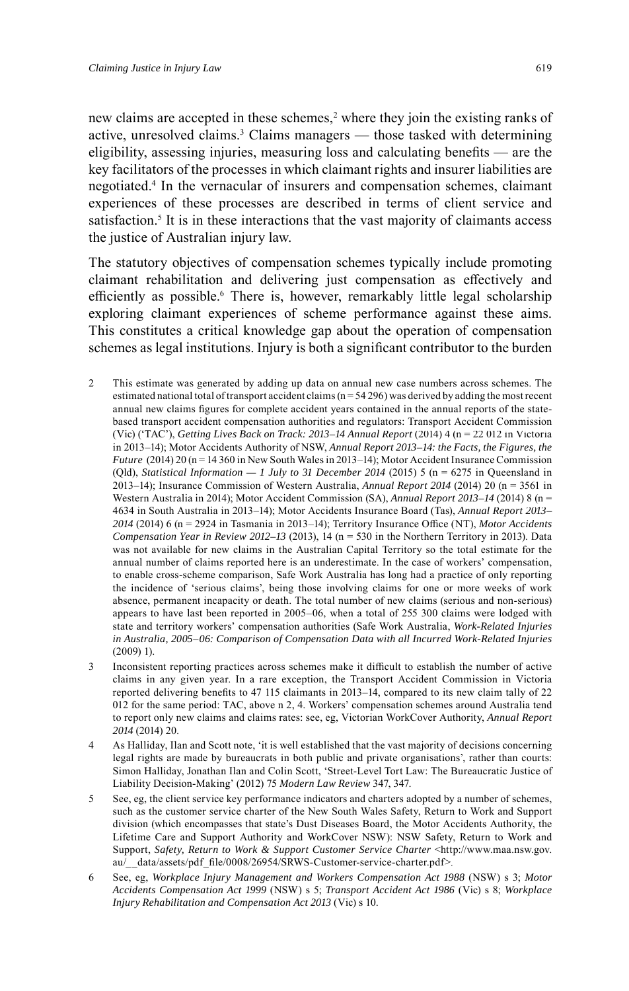new claims are accepted in these schemes,<sup>2</sup> where they join the existing ranks of active, unresolved claims. 3 Claims managers — those tasked with determining eligibility, assessing injuries, measuring loss and calculating benefits  $-$  are the key facilitators of the processes in which claimant rights and insurer liabilities are negotiated. 4 In the vernacular of insurers and compensation schemes, claimant experiences of these processes are described in terms of client service and satisfaction.<sup>5</sup> It is in these interactions that the vast majority of claimants access the justice of Australian injury law.

The statutory objectives of compensation schemes typically include promoting claimant rehabilitation and delivering just compensation as effectively and efficiently as possible.<sup>6</sup> There is, however, remarkably little legal scholarship exploring claimant experiences of scheme performance against these aims. This constitutes a critical knowledge gap about the operation of compensation schemes as legal institutions. Injury is both a significant contributor to the burden

- 2 This estimate was generated by adding up data on annual new case numbers across schemes. The estimated national total of transport accident claims  $(n = 54296)$  was derived by adding the most recent annual new claims figures for complete accident years contained in the annual reports of the statebased transport accident compensation authorities and regulators: Transport Accident Commission (Vic) ('TAC'), *Getting Lives Back on Track: 2013–14 Annual Report* (2014) 4 (n = 22 012 in Victoria in 2013–14); Motor Accidents Authority of NSW, *Annual Report 2013–14: the Facts, the Figures, the Future* (2014) 20 (n = 14 360 in New South Wales in 2013–14); Motor Accident Insurance Commission (Qld), *Statistical Information*  $-1$  *July to* 31 *December* 2014 (2015) 5 (n = 6275 in Queensland in 2013–14); Insurance Commission of Western Australia, *Annual Report 2014* (2014) 20 (n = 3561 in Western Australia in 2014); Motor Accident Commission (SA), *Annual Report 2013–14* (2014) 8 (n = 4634 in South Australia in 2013–14); Motor Accidents Insurance Board (Tas), *Annual Report 2013–* 2014 (2014) 6 (n = 2924 in Tasmania in 2013–14); Territory Insurance Office (NT), *Motor Accidents Compensation Year in Review 2012-13* (2013), 14 (n = 530 in the Northern Territory in 2013). Data was not available for new claims in the Australian Capital Territory so the total estimate for the annual number of claims reported here is an underestimate. In the case of workers' compensation, to enable cross-scheme comparison, Safe Work Australia has long had a practice of only reporting the incidence of 'serious claims', being those involving claims for one or more weeks of work absence, permanent incapacity or death. The total number of new claims (serious and non-serious) appears to have last been reported in 2005–06, when a total of 255 300 claims were lodged with state and territory workers' compensation authorities (Safe Work Australia, *Work-Related Injuries in Australia, 2005–06: Comparison of Compensation Data with all Incurred Work-Related Injuries* (2009) 1).
- 3 Inconsistent reporting practices across schemes make it difficult to establish the number of active claims in any given year. In a rare exception, the Transport Accident Commission in Victoria reported delivering benefits to 47 115 claimants in  $2013-14$ , compared to its new claim tally of  $22$ 012 for the same period: TAC, above n 2, 4. Workers' compensation schemes around Australia tend to report only new claims and claims rates: see, eg, Victorian WorkCover Authority, *Annual Report 2014* (2014) 20.
- 4 As Halliday, Ilan and Scott note, 'it is well established that the vast majority of decisions concerning legal rights are made by bureaucrats in both public and private organisations', rather than courts: Simon Halliday, Jonathan Ilan and Colin Scott, 'Street-Level Tort Law: The Bureaucratic Justice of Liability Decision-Making' (2012) 75 *Modern Law Review* 347, 347.
- 5 See, eg, the client service key performance indicators and charters adopted by a number of schemes, such as the customer service charter of the New South Wales Safety, Return to Work and Support division (which encompasses that state's Dust Diseases Board, the Motor Accidents Authority, the Lifetime Care and Support Authority and WorkCover NSW): NSW Safety, Return to Work and Support, Safety, Return to Work & Support Customer Service Charter <http://www.maa.nsw.gov. au/\_\_data/assets/pdf\_fi le/0008/26954/SRWS-Customer-service-charter.pdf>.
- 6 See, eg, *Workplace Injury Management and Workers Compensation Act 1988* (NSW) s 3; *Motor Accidents Compensation Act 1999* (NSW) s 5; *Transport Accident Act 1986* (Vic) s 8; *Workplace Injury Rehabilitation and Compensation Act 2013* (Vic) s 10.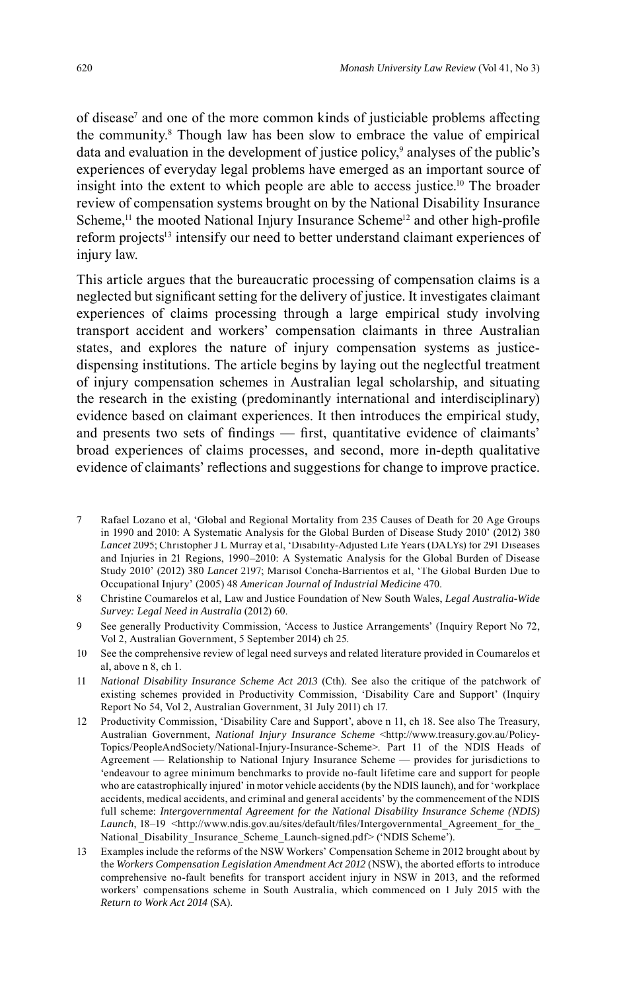of disease<sup>7</sup> and one of the more common kinds of justiciable problems affecting the community. 8 Though law has been slow to embrace the value of empirical data and evaluation in the development of justice policy,<sup>9</sup> analyses of the public's experiences of everyday legal problems have emerged as an important source of insight into the extent to which people are able to access justice. 10 The broader review of compensation systems brought on by the National Disability Insurance Scheme,<sup>11</sup> the mooted National Injury Insurance Scheme<sup>12</sup> and other high-profile reform projects<sup>13</sup> intensify our need to better understand claimant experiences of injury law.

This article argues that the bureaucratic processing of compensation claims is a neglected but significant setting for the delivery of justice. It investigates claimant experiences of claims processing through a large empirical study involving transport accident and workers' compensation claimants in three Australian states, and explores the nature of injury compensation systems as justicedispensing institutions. The article begins by laying out the neglectful treatment of injury compensation schemes in Australian legal scholarship, and situating the research in the existing (predominantly international and interdisciplinary) evidence based on claimant experiences. It then introduces the empirical study, and presents two sets of findings — first, quantitative evidence of claimants' broad experiences of claims processes, and second, more in-depth qualitative evidence of claimants' reflections and suggestions for change to improve practice.

- 7 Rafael Lozano et al, 'Global and Regional Mortality from 235 Causes of Death for 20 Age Groups in 1990 and 2010: A Systematic Analysis for the Global Burden of Disease Study 2010' (2012) 380 *Lancet* 2095; Christopher J L Murray et al, 'Disability-Adjusted Life Years (DALYs) for 291 Diseases and Injuries in 21 Regions, 1990–2010: A Systematic Analysis for the Global Burden of Disease Study 2010' (2012) 380 *Lancet* 2197; Marisol Concha-Barrientos et al, 'The Global Burden Due to Occupational Injury' (2005) 48 *American Journal of Industrial Medicine* 470.
- 8 Christine Coumarelos et al, Law and Justice Foundation of New South Wales, *Legal Australia-Wide Survey: Legal Need in Australia* (2012) 60.
- 9 See generally Productivity Commission, 'Access to Justice Arrangements' (Inquiry Report No 72, Vol 2, Australian Government, 5 September 2014) ch 25.
- 10 See the comprehensive review of legal need surveys and related literature provided in Coumarelos et al, above n 8, ch 1.
- 11 *National Disability Insurance Scheme Act 2013* (Cth). See also the critique of the patchwork of existing schemes provided in Productivity Commission, 'Disability Care and Support' (Inquiry Report No 54, Vol 2, Australian Government, 31 July 2011) ch 17.
- 12 Productivity Commission, 'Disability Care and Support', above n 11, ch 18. See also The Treasury, Australian Government, *National Injury Insurance Scheme* <http://www.treasury.gov.au/Policy-Topics/PeopleAndSociety/National-Injury-Insurance-Scheme>. Part 11 of the NDIS Heads of Agreement — Relationship to National Injury Insurance Scheme — provides for jurisdictions to 'endeavour to agree minimum benchmarks to provide no-fault lifetime care and support for people who are catastrophically injured' in motor vehicle accidents (by the NDIS launch), and for 'workplace accidents, medical accidents, and criminal and general accidents' by the commencement of the NDIS full scheme: *Intergovernmental Agreement for the National Disability Insurance Scheme (NDIS)* Launch, 18-19 <http://www.ndis.gov.au/sites/default/files/Intergovernmental\_Agreement\_for\_the\_ National\_Disability\_Insurance\_Scheme\_Launch-signed.pdf> ('NDIS Scheme').
- 13 Examples include the reforms of the NSW Workers' Compensation Scheme in 2012 brought about by the *Workers Compensation Legislation Amendment Act 2012* (NSW), the aborted efforts to introduce comprehensive no-fault benefits for transport accident injury in NSW in 2013, and the reformed workers' compensations scheme in South Australia, which commenced on 1 July 2015 with the *Return to Work Act 2014* (SA).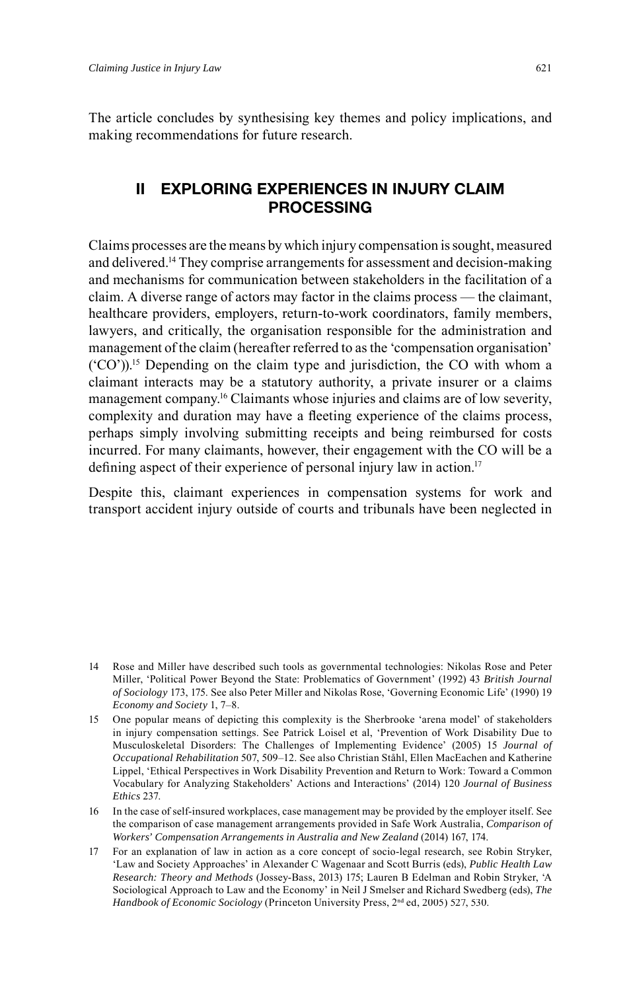The article concludes by synthesising key themes and policy implications, and making recommendations for future research.

# **II EXPLORING EXPERIENCES IN INJURY CLAIM PROCESSING**

Claims processes are the means by which injury compensation is sought, measured and delivered.14 They comprise arrangements for assessment and decision-making and mechanisms for communication between stakeholders in the facilitation of a claim. A diverse range of actors may factor in the claims process — the claimant, healthcare providers, employers, return-to-work coordinators, family members, lawyers, and critically, the organisation responsible for the administration and management of the claim (hereafter referred to as the 'compensation organisation' ('CO')).15 Depending on the claim type and jurisdiction, the CO with whom a claimant interacts may be a statutory authority, a private insurer or a claims management company. 16 Claimants whose injuries and claims are of low severity, complexity and duration may have a fleeting experience of the claims process, perhaps simply involving submitting receipts and being reimbursed for costs incurred. For many claimants, however, their engagement with the CO will be a defining aspect of their experience of personal injury law in action.<sup>17</sup>

Despite this, claimant experiences in compensation systems for work and transport accident injury outside of courts and tribunals have been neglected in

<sup>14</sup> Rose and Miller have described such tools as governmental technologies: Nikolas Rose and Peter Miller, 'Political Power Beyond the State: Problematics of Government' (1992) 43 *British Journal of Sociology* 173, 175. See also Peter Miller and Nikolas Rose, 'Governing Economic Life' (1990) 19 *Economy and Society* 1, 7–8.

<sup>15</sup> One popular means of depicting this complexity is the Sherbrooke 'arena model' of stakeholders in injury compensation settings. See Patrick Loisel et al, 'Prevention of Work Disability Due to Musculoskeletal Disorders: The Challenges of Implementing Evidence' (2005) 15 *Journal of Occupational Rehabilitation* 507, 509–12. See also Christian Ståhl, Ellen MacEachen and Katherine Lippel, 'Ethical Perspectives in Work Disability Prevention and Return to Work: Toward a Common Vocabulary for Analyzing Stakeholders' Actions and Interactions' (2014) 120 *Journal of Business Ethics* 237.

<sup>16</sup> In the case of self-insured workplaces, case management may be provided by the employer itself. See the comparison of case management arrangements provided in Safe Work Australia, *Comparison of Workers' Compensation Arrangements in Australia and New Zealand* (2014) 167, 174.

<sup>17</sup> For an explanation of law in action as a core concept of socio-legal research, see Robin Stryker, 'Law and Society Approaches' in Alexander C Wagenaar and Scott Burris (eds), *Public Health Law Research: Theory and Methods* (Jossey-Bass, 2013) 175; Lauren B Edelman and Robin Stryker, 'A Sociological Approach to Law and the Economy' in Neil J Smelser and Richard Swedberg (eds), *The Handbook of Economic Sociology* (Princeton University Press, 2<sup>nd</sup> ed, 2005) 527, 530.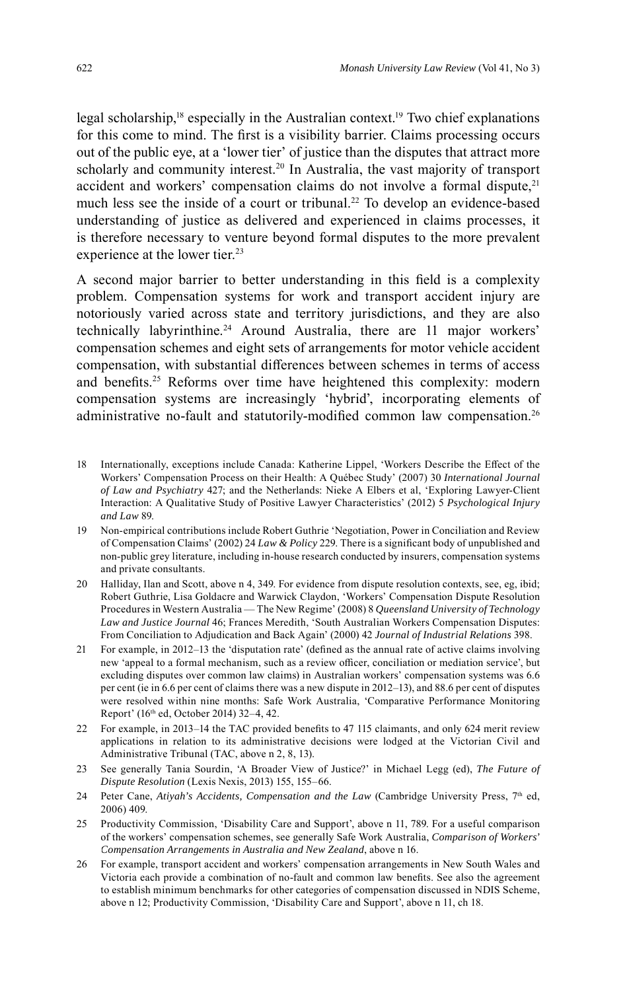legal scholarship,<sup>18</sup> especially in the Australian context.<sup>19</sup> Two chief explanations for this come to mind. The first is a visibility barrier. Claims processing occurs out of the public eye, at a 'lower tier' of justice than the disputes that attract more scholarly and community interest. 20 In Australia, the vast majority of transport accident and workers' compensation claims do not involve a formal dispute,<sup>21</sup> much less see the inside of a court or tribunal. 22 To develop an evidence-based understanding of justice as delivered and experienced in claims processes, it is therefore necessary to venture beyond formal disputes to the more prevalent experience at the lower tier.<sup>23</sup>

A second major barrier to better understanding in this field is a complexity problem. Compensation systems for work and transport accident injury are notoriously varied across state and territory jurisdictions, and they are also technically labyrinthine. 24 Around Australia, there are 11 major workers' compensation schemes and eight sets of arrangements for motor vehicle accident compensation, with substantial differences between schemes in terms of access and benefits.<sup>25</sup> Reforms over time have heightened this complexity: modern compensation systems are increasingly 'hybrid', incorporating elements of administrative no-fault and statutorily-modified common law compensation.<sup>26</sup>

- 18 Internationally, exceptions include Canada: Katherine Lippel, 'Workers Describe the Effect of the Workers' Compensation Process on their Health: A Québec Study' (2007) 30 *International Journal of Law and Psychiatry* 427; and the Netherlands: Nieke A Elbers et al, 'Exploring Lawyer-Client Interaction: A Qualitative Study of Positive Lawyer Characteristics' (2012) 5 *Psychological Injury and Law* 89.
- 19 Non-empirical contributions include Robert Guthrie 'Negotiation, Power in Conciliation and Review of Compensation Claims' (2002) 24 *Law & Policy* 229. There is a significant body of unpublished and non-public grey literature, including in-house research conducted by insurers, compensation systems and private consultants.
- 20 Halliday, Ilan and Scott, above n 4, 349. For evidence from dispute resolution contexts, see, eg, ibid; Robert Guthrie, Lisa Goldacre and Warwick Claydon, 'Workers' Compensation Dispute Resolution Procedures in Western Australia — The New Regime' (2008) 8 *Queensland University of Technology Law and Justice Journal* 46; Frances Meredith, 'South Australian Workers Compensation Disputes: From Conciliation to Adjudication and Back Again' (2000) 42 *Journal of Industrial Relations* 398.
- 21 For example, in 2012–13 the 'disputation rate' (defined as the annual rate of active claims involving new 'appeal to a formal mechanism, such as a review officer, conciliation or mediation service', but excluding disputes over common law claims) in Australian workers' compensation systems was 6.6 per cent (ie in 6.6 per cent of claims there was a new dispute in 2012–13), and 88.6 per cent of disputes were resolved within nine months: Safe Work Australia, 'Comparative Performance Monitoring Report' (16th ed, October 2014) 32–4, 42.
- 22 For example, in 2013–14 the TAC provided benefits to 47 115 claimants, and only 624 merit review applications in relation to its administrative decisions were lodged at the Victorian Civil and Administrative Tribunal (TAC, above n 2, 8, 13).
- 23 See generally Tania Sourdin, 'A Broader View of Justice?' in Michael Legg (ed), *The Future of Dispute Resolution* (Lexis Nexis, 2013) 155, 155–66.
- 24 Peter Cane, *Atiyah's Accidents, Compensation and the Law* (Cambridge University Press, 7th ed, 2006) 409.
- 25 Productivity Commission, 'Disability Care and Support', above n 11, 789. For a useful comparison of the workers' compensation schemes, see generally Safe Work Australia, *Comparison of Workers' Compensation Arrangements in Australia and New Zealand*, above n 16.
- 26 For example, transport accident and workers' compensation arrangements in New South Wales and Victoria each provide a combination of no-fault and common law benefits. See also the agreement to establish minimum benchmarks for other categories of compensation discussed in NDIS Scheme, above n 12; Productivity Commission, 'Disability Care and Support', above n 11, ch 18.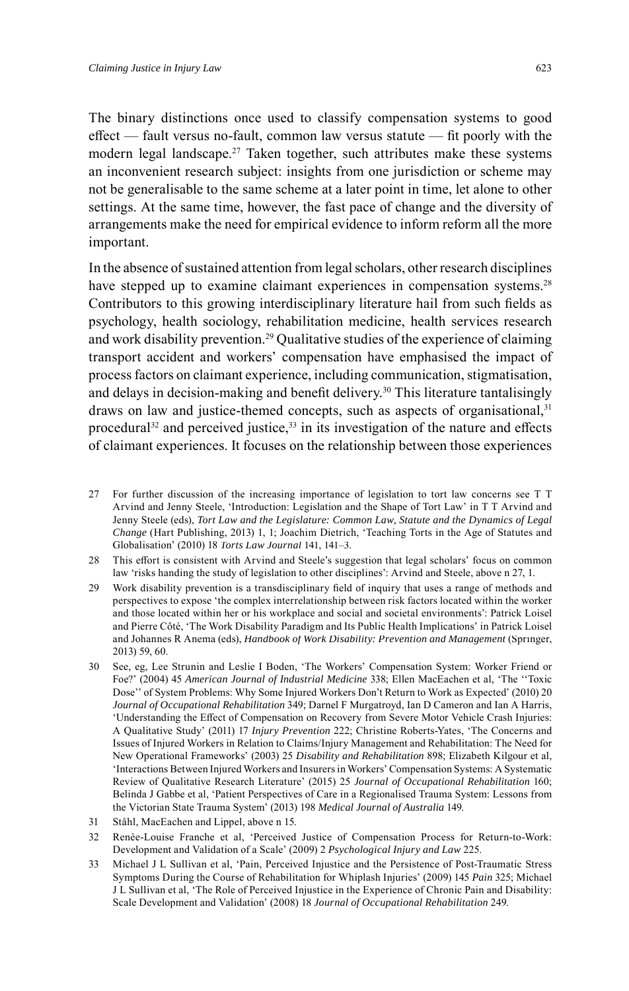The binary distinctions once used to classify compensation systems to good  $effect$  — fault versus no-fault, common law versus statute — fit poorly with the modern legal landscape. 27 Taken together, such attributes make these systems an inconvenient research subject: insights from one jurisdiction or scheme may not be generalisable to the same scheme at a later point in time, let alone to other settings. At the same time, however, the fast pace of change and the diversity of arrangements make the need for empirical evidence to inform reform all the more important.

In the absence of sustained attention from legal scholars, other research disciplines have stepped up to examine claimant experiences in compensation systems.<sup>28</sup> Contributors to this growing interdisciplinary literature hail from such fields as psychology, health sociology, rehabilitation medicine, health services research and work disability prevention. 29 Qualitative studies of the experience of claiming transport accident and workers' compensation have emphasised the impact of process factors on claimant experience, including communication, stigmatisation, and delays in decision-making and benefit delivery.<sup>30</sup> This literature tantalisingly draws on law and justice-themed concepts, such as aspects of organisational,<sup>31</sup> procedural<sup>32</sup> and perceived justice,  $33$  in its investigation of the nature and effects of claimant experiences. It focuses on the relationship between those experiences

- 27 For further discussion of the increasing importance of legislation to tort law concerns see T T Arvind and Jenny Steele, 'Introduction: Legislation and the Shape of Tort Law' in T T Arvind and Jenny Steele (eds), *Tort Law and the Legislature: Common Law, Statute and the Dynamics of Legal Change* (Hart Publishing, 2013) 1, 1; Joachim Dietrich, 'Teaching Torts in the Age of Statutes and Globalisation' (2010) 18 *Torts Law Journal* 141, 141–3.
- 28 This effort is consistent with Arvind and Steele's suggestion that legal scholars' focus on common law 'risks handing the study of legislation to other disciplines': Arvind and Steele, above n 27, 1.
- 29 Work disability prevention is a transdisciplinary field of inquiry that uses a range of methods and perspectives to expose 'the complex interrelationship between risk factors located within the worker and those located within her or his workplace and social and societal environments': Patrick Loisel and Pierre Côté, 'The Work Disability Paradigm and Its Public Health Implications' in Patrick Loisel and Johannes R Anema (eds), *Handbook of Work Disability: Prevention and Management* (Springer, 2013) 59, 60.
- 30 See, eg, Lee Strunin and Leslie I Boden, 'The Workers' Compensation System: Worker Friend or Foe?' (2004) 45 *American Journal of Industrial Medicine* 338; Ellen MacEachen et al, 'The ''Toxic Dose'' of System Problems: Why Some Injured Workers Don't Return to Work as Expected' (2010) 20 *Journal of Occupational Rehabilitation* 349; Darnel F Murgatroyd, Ian D Cameron and Ian A Harris, 'Understanding the Effect of Compensation on Recovery from Severe Motor Vehicle Crash Injuries: A Qualitative Study' (2011) 17 *Injury Prevention* 222; Christine Roberts-Yates, 'The Concerns and Issues of Injured Workers in Relation to Claims/Injury Management and Rehabilitation: The Need for New Operational Frameworks' (2003) 25 *Disability and Rehabilitation* 898; Elizabeth Kilgour et al, 'Interactions Between Injured Workers and Insurers in Workers' Compensation Systems: A Systematic Review of Qualitative Research Literature' (2015) 25 *Journal of Occupational Rehabilitation* 160; Belinda J Gabbe et al, 'Patient Perspectives of Care in a Regionalised Trauma System: Lessons from the Victorian State Trauma System' (2013) 198 *Medical Journal of Australia* 149.
- 31 Ståhl, MacEachen and Lippel, above n 15.
- 32 Renèe-Louise Franche et al, 'Perceived Justice of Compensation Process for Return-to-Work: Development and Validation of a Scale' (2009) 2 *Psychological Injury and Law* 225.
- 33 Michael J L Sullivan et al, 'Pain, Perceived Injustice and the Persistence of Post-Traumatic Stress Symptoms During the Course of Rehabilitation for Whiplash Injuries' (2009) 145 *Pain* 325; Michael J L Sullivan et al, 'The Role of Perceived Injustice in the Experience of Chronic Pain and Disability: Scale Development and Validation' (2008) 18 *Journal of Occupational Rehabilitation* 249.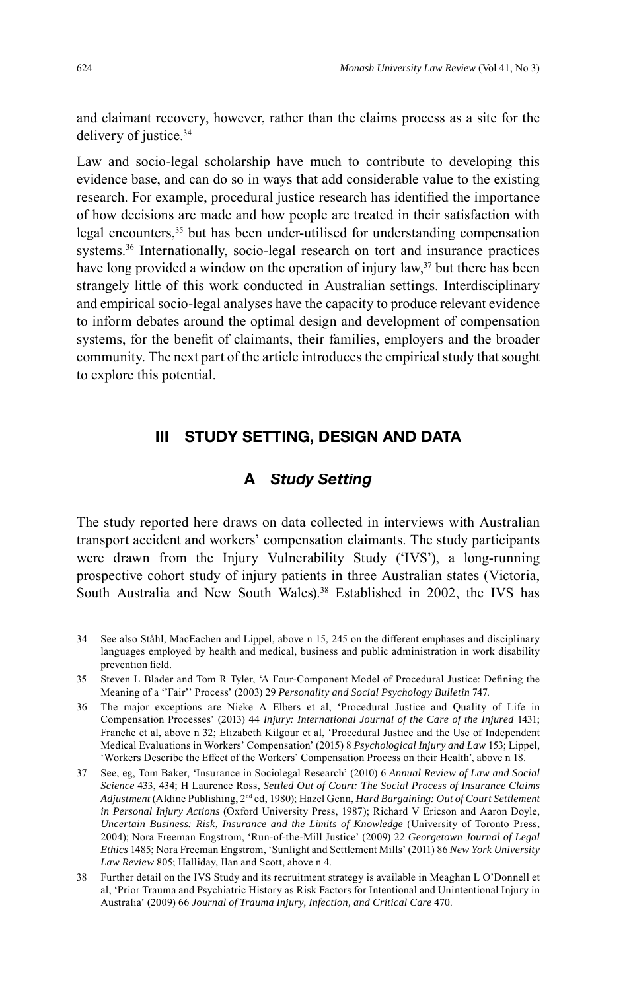and claimant recovery, however, rather than the claims process as a site for the delivery of justice. 34

Law and socio-legal scholarship have much to contribute to developing this evidence base, and can do so in ways that add considerable value to the existing research. For example, procedural justice research has identified the importance of how decisions are made and how people are treated in their satisfaction with legal encounters,<sup>35</sup> but has been under-utilised for understanding compensation systems. 36 Internationally, socio-legal research on tort and insurance practices have long provided a window on the operation of injury law,<sup>37</sup> but there has been strangely little of this work conducted in Australian settings. Interdisciplinary and empirical socio-legal analyses have the capacity to produce relevant evidence to inform debates around the optimal design and development of compensation systems, for the benefit of claimants, their families, employers and the broader community. The next part of the article introduces the empirical study that sought to explore this potential.

## **III STUDY SETTING, DESIGN AND DATA**

## **A** *Study Setting*

The study reported here draws on data collected in interviews with Australian transport accident and workers' compensation claimants. The study participants were drawn from the Injury Vulnerability Study ('IVS'), a long-running prospective cohort study of injury patients in three Australian states (Victoria, South Australia and New South Wales).<sup>38</sup> Established in 2002, the IVS has

<sup>34</sup> See also Ståhl, MacEachen and Lippel, above n 15, 245 on the different emphases and disciplinary languages employed by health and medical, business and public administration in work disability prevention field.

<sup>35</sup> Steven L Blader and Tom R Tyler, 'A Four-Component Model of Procedural Justice: Defining the Meaning of a ''Fair'' Process' (2003) 29 *Personality and Social Psychology Bulletin* 747.

<sup>36</sup> The major exceptions are Nieke A Elbers et al, 'Procedural Justice and Quality of Life in Compensation Processes' (2013) 44 *Injury: International Journal of the Care of the Injured* 1431; Franche et al, above n 32; Elizabeth Kilgour et al, 'Procedural Justice and the Use of Independent Medical Evaluations in Workers' Compensation' (2015) 8 *Psychological Injury and Law* 153; Lippel, 'Workers Describe the Effect of the Workers' Compensation Process on their Health', above n 18.

<sup>37</sup> See, eg, Tom Baker, 'Insurance in Sociolegal Research' (2010) 6 *Annual Review of Law and Social Science* 433, 434; H Laurence Ross, *Settled Out of Court: The Social Process of Insurance Claims* Adjustment (Aldine Publishing, 2<sup>nd</sup> ed, 1980); Hazel Genn, *Hard Bargaining: Out of Court Settlement in Personal Injury Actions* (Oxford University Press, 1987); Richard V Ericson and Aaron Doyle, *Uncertain Business: Risk, Insurance and the Limits of Knowledge* (University of Toronto Press, 2004); Nora Freeman Engstrom, 'Run-of-the-Mill Justice' (2009) 22 *Georgetown Journal of Legal Ethics* 1485; Nora Freeman Engstrom, 'Sunlight and Settlement Mills' (2011) 86 *New York University Law Review* 805; Halliday, Ilan and Scott, above n 4.

<sup>38</sup> Further detail on the IVS Study and its recruitment strategy is available in Meaghan L O'Donnell et al, 'Prior Trauma and Psychiatric History as Risk Factors for Intentional and Unintentional Injury in Australia' (2009) 66 *Journal of Trauma Injury, Infection, and Critical Care* 470.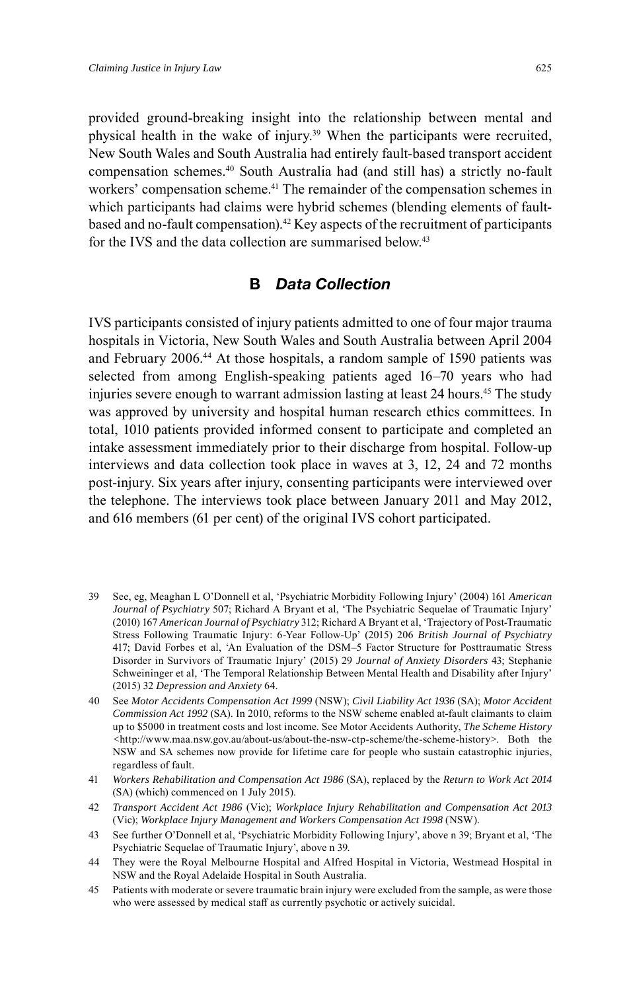provided ground-breaking insight into the relationship between mental and physical health in the wake of injury. <sup>39</sup> When the participants were recruited, New South Wales and South Australia had entirely fault-based transport accident compensation schemes. <sup>40</sup> South Australia had (and still has) a strictly no-fault workers' compensation scheme. 41 The remainder of the compensation schemes in which participants had claims were hybrid schemes (blending elements of faultbased and no-fault compensation). <sup>42</sup> Key aspects of the recruitment of participants for the IVS and the data collection are summarised below. 43

### **B** *Data Collection*

IVS participants consisted of injury patients admitted to one of four major trauma hospitals in Victoria, New South Wales and South Australia between April 2004 and February 2006. 44 At those hospitals, a random sample of 1590 patients was selected from among English-speaking patients aged 16–70 years who had injuries severe enough to warrant admission lasting at least 24 hours. 45 The study was approved by university and hospital human research ethics committees. In total, 1010 patients provided informed consent to participate and completed an intake assessment immediately prior to their discharge from hospital. Follow-up interviews and data collection took place in waves at 3, 12, 24 and 72 months post-injury. Six years after injury, consenting participants were interviewed over the telephone. The interviews took place between January 2011 and May 2012, and 616 members (61 per cent) of the original IVS cohort participated.

- 39 See, eg, Meaghan L O'Donnell et al, 'Psychiatric Morbidity Following Injury' (2004) 161 *American Journal of Psychiatry* 507; Richard A Bryant et al, 'The Psychiatric Sequelae of Traumatic Injury' (2010) 167 *American Journal of Psychiatry* 312; Richard A Bryant et al, 'Trajectory of Post-Traumatic Stress Following Traumatic Injury: 6-Year Follow-Up' (2015) 206 *British Journal of Psychiatry* 417; David Forbes et al, 'An Evaluation of the DSM–5 Factor Structure for Posttraumatic Stress Disorder in Survivors of Traumatic Injury' (2015) 29 *Journal of Anxiety Disorders* 43; Stephanie Schweininger et al, 'The Temporal Relationship Between Mental Health and Disability after Injury' (2015) 32 *Depression and Anxiety* 64.
- 40 See *Motor Accidents Compensation Act 1999* (NSW); *Civil Liability Act 1936* (SA); *Motor Accident Commission Act 1992* (SA). In 2010, reforms to the NSW scheme enabled at-fault claimants to claim up to \$5000 in treatment costs and lost income. See Motor Accidents Authority, *The Scheme History <*http://www.maa.nsw.gov.au/about-us/about-the-nsw-ctp-scheme/the-scheme-history>. Both the NSW and SA schemes now provide for lifetime care for people who sustain catastrophic injuries, regardless of fault.
- 41 *Workers Rehabilitation and Compensation Act 1986* (SA), replaced by the *Return to Work Act 2014* (SA) (which) commenced on 1 July 2015).
- 42 *Transport Accident Act 1986* (Vic); *Workplace Injury Rehabilitation and Compensation Act 2013* (Vic); *Workplace Injury Management and Workers Compensation Act 1998* (NSW).
- 43 See further O'Donnell et al, 'Psychiatric Morbidity Following Injury', above n 39; Bryant et al, 'The Psychiatric Sequelae of Traumatic Injury', above n 39.
- 44 They were the Royal Melbourne Hospital and Alfred Hospital in Victoria, Westmead Hospital in NSW and the Royal Adelaide Hospital in South Australia.
- 45 Patients with moderate or severe traumatic brain injury were excluded from the sample, as were those who were assessed by medical staff as currently psychotic or actively suicidal.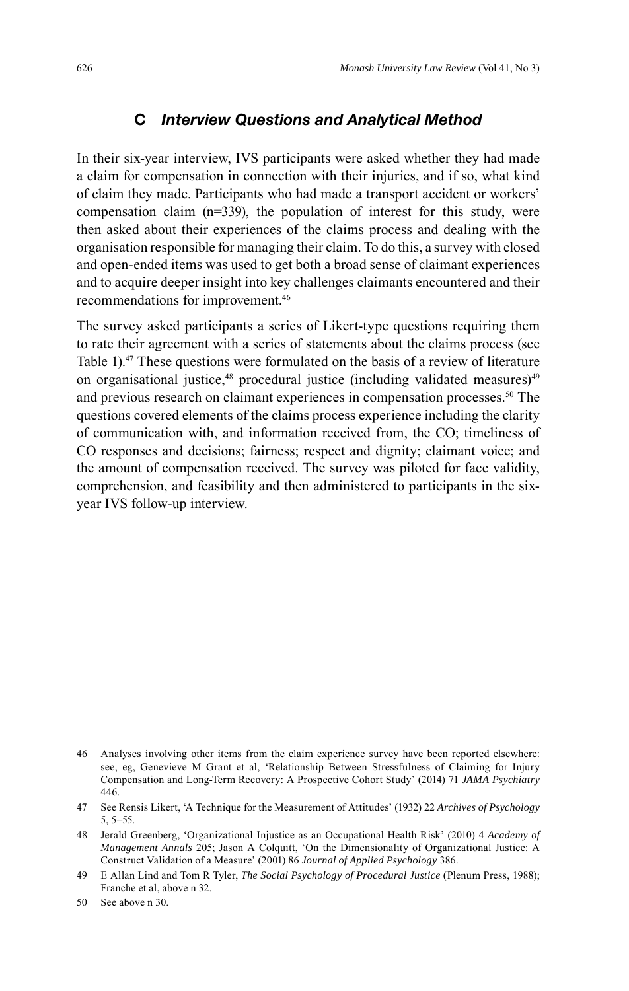### **C** *Interview Questions and Analytical Method*

In their six-year interview, IVS participants were asked whether they had made a claim for compensation in connection with their injuries, and if so, what kind of claim they made. Participants who had made a transport accident or workers' compensation claim (n=339), the population of interest for this study, were then asked about their experiences of the claims process and dealing with the organisation responsible for managing their claim. To do this, a survey with closed and open-ended items was used to get both a broad sense of claimant experiences and to acquire deeper insight into key challenges claimants encountered and their recommendations for improvement. 46

The survey asked participants a series of Likert-type questions requiring them to rate their agreement with a series of statements about the claims process (see Table 1).47 These questions were formulated on the basis of a review of literature on organisational justice,<sup>48</sup> procedural justice (including validated measures)<sup>49</sup> and previous research on claimant experiences in compensation processes. 50 The questions covered elements of the claims process experience including the clarity of communication with, and information received from, the CO; timeliness of CO responses and decisions; fairness; respect and dignity; claimant voice; and the amount of compensation received. The survey was piloted for face validity, comprehension, and feasibility and then administered to participants in the sixyear IVS follow-up interview.

<sup>46</sup> Analyses involving other items from the claim experience survey have been reported elsewhere: see, eg, Genevieve M Grant et al, 'Relationship Between Stressfulness of Claiming for Injury Compensation and Long-Term Recovery: A Prospective Cohort Study' (2014) 71 *JAMA Psychiatry* 446.

<sup>47</sup> See Rensis Likert, 'A Technique for the Measurement of Attitudes' (1932) 22 *Archives of Psychology* 5, 5–55.

<sup>48</sup> Jerald Greenberg, 'Organizational Injustice as an Occupational Health Risk' (2010) 4 *Academy of Management Annals* 205; Jason A Colquitt, 'On the Dimensionality of Organizational Justice: A Construct Validation of a Measure' (2001) 86 *Journal of Applied Psychology* 386.

<sup>49</sup> E Allan Lind and Tom R Tyler, *The Social Psychology of Procedural Justice* (Plenum Press, 1988); Franche et al, above n 32.

<sup>50</sup> See above n 30.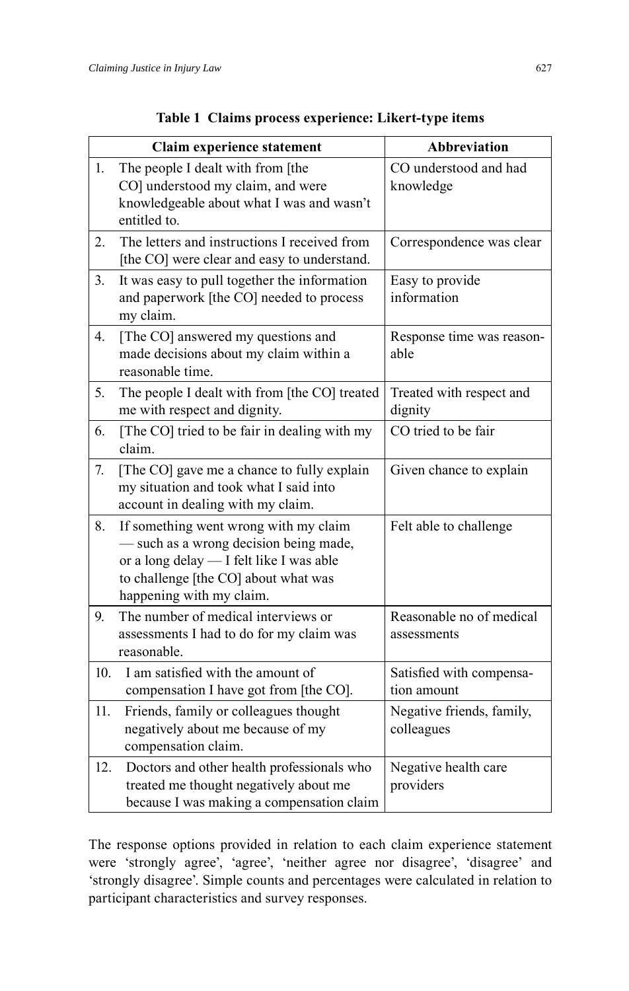|     | Claim experience statement                                                                                                                                                                      | <b>Abbreviation</b>                     |  |  |
|-----|-------------------------------------------------------------------------------------------------------------------------------------------------------------------------------------------------|-----------------------------------------|--|--|
| 1.  | The people I dealt with from [the<br>CO] understood my claim, and were<br>knowledgeable about what I was and wasn't<br>entitled to.                                                             | CO understood and had<br>knowledge      |  |  |
| 2.  | The letters and instructions I received from<br>[the CO] were clear and easy to understand.                                                                                                     | Correspondence was clear                |  |  |
| 3.  | It was easy to pull together the information<br>and paperwork [the CO] needed to process<br>my claim.                                                                                           | Easy to provide<br>information          |  |  |
| 4.  | [The CO] answered my questions and<br>made decisions about my claim within a<br>reasonable time.                                                                                                | Response time was reason-<br>able       |  |  |
| 5.  | The people I dealt with from [the CO] treated<br>me with respect and dignity.                                                                                                                   | Treated with respect and<br>dignity     |  |  |
| 6.  | [The CO] tried to be fair in dealing with my<br>claim.                                                                                                                                          | CO tried to be fair                     |  |  |
| 7.  | [The CO] gave me a chance to fully explain<br>my situation and took what I said into<br>account in dealing with my claim.                                                                       | Given chance to explain                 |  |  |
| 8.  | If something went wrong with my claim<br>- such as a wrong decision being made,<br>or a long delay - I felt like I was able<br>to challenge [the CO] about what was<br>happening with my claim. | Felt able to challenge                  |  |  |
| 9.  | The number of medical interviews or<br>assessments I had to do for my claim was<br>reasonable.                                                                                                  | Reasonable no of medical<br>assessments |  |  |
| 10. | I am satisfied with the amount of<br>compensation I have got from [the CO].                                                                                                                     | Satisfied with compensa-<br>tion amount |  |  |
| 11. | Friends, family or colleagues thought<br>negatively about me because of my<br>compensation claim.                                                                                               | Negative friends, family,<br>colleagues |  |  |
| 12. | Doctors and other health professionals who<br>treated me thought negatively about me<br>because I was making a compensation claim                                                               | Negative health care<br>providers       |  |  |

|  | Table 1 Claims process experience: Likert-type items |  |  |  |
|--|------------------------------------------------------|--|--|--|
|--|------------------------------------------------------|--|--|--|

The response options provided in relation to each claim experience statement were 'strongly agree', 'agree', 'neither agree nor disagree', 'disagree' and 'strongly disagree'. Simple counts and percentages were calculated in relation to participant characteristics and survey responses.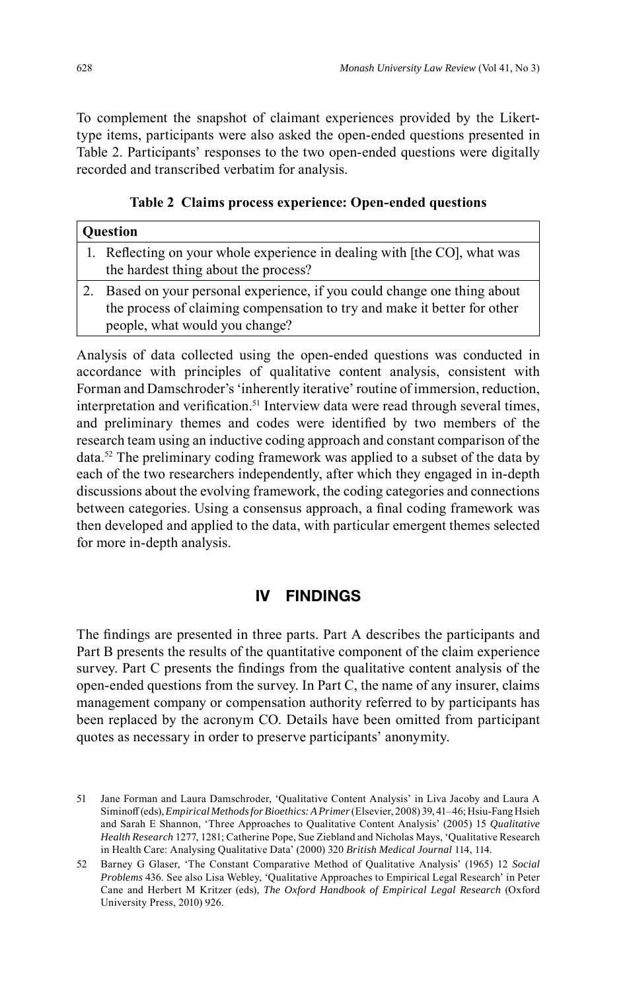To complement the snapshot of claimant experiences provided by the Likerttype items, participants were also asked the open-ended questions presented in Table 2. Participants' responses to the two open-ended questions were digitally recorded and transcribed verbatim for analysis.

**Table 2 Claims process experience: Open-ended questions**

| <b>Question</b>                                                                                                                                                                      |  |  |
|--------------------------------------------------------------------------------------------------------------------------------------------------------------------------------------|--|--|
| 1. Reflecting on your whole experience in dealing with [the CO], what was<br>the hardest thing about the process?                                                                    |  |  |
| Based on your personal experience, if you could change one thing about<br>the process of claiming compensation to try and make it better for other<br>people, what would you change? |  |  |

Analysis of data collected using the open-ended questions was conducted in accordance with principles of qualitative content analysis, consistent with Forman and Damschroder's 'inherently iterative' routine of immersion, reduction, interpretation and verification.<sup>51</sup> Interview data were read through several times, and preliminary themes and codes were identified by two members of the research team using an inductive coding approach and constant comparison of the data. <sup>52</sup> The preliminary coding framework was applied to a subset of the data by each of the two researchers independently, after which they engaged in in-depth discussions about the evolving framework, the coding categories and connections between categories. Using a consensus approach, a final coding framework was then developed and applied to the data, with particular emergent themes selected for more in-depth analysis.

## **IV FINDINGS**

The findings are presented in three parts. Part A describes the participants and Part B presents the results of the quantitative component of the claim experience survey. Part C presents the findings from the qualitative content analysis of the open-ended questions from the survey. In Part C, the name of any insurer, claims management company or compensation authority referred to by participants has been replaced by the acronym CO. Details have been omitted from participant quotes as necessary in order to preserve participants' anonymity.

<sup>51</sup> Jane Forman and Laura Damschroder, 'Qualitative Content Analysis' in Liva Jacoby and Laura A Siminoff (eds), *Empirical Methods for Bioethics: A Primer* (Elsevier, 2008) 39, 41–46; Hsiu-Fang Hsieh and Sarah E Shannon, 'Three Approaches to Qualitative Content Analysis' (2005) 15 *Qualitative Health Research* 1277, 1281; Catherine Pope, Sue Ziebland and Nicholas Mays, 'Qualitative Research in Health Care: Analysing Qualitative Data' (2000) 320 *British Medical Journal* 114, 114.

<sup>52</sup> Barney G Glaser, 'The Constant Comparative Method of Qualitative Analysis' (1965) 12 *Social Problems* 436. See also Lisa Webley, 'Qualitative Approaches to Empirical Legal Research' in Peter Cane and Herbert M Kritzer (eds), *The Oxford Handbook of Empirical Legal Research* (Oxford University Press, 2010) 926.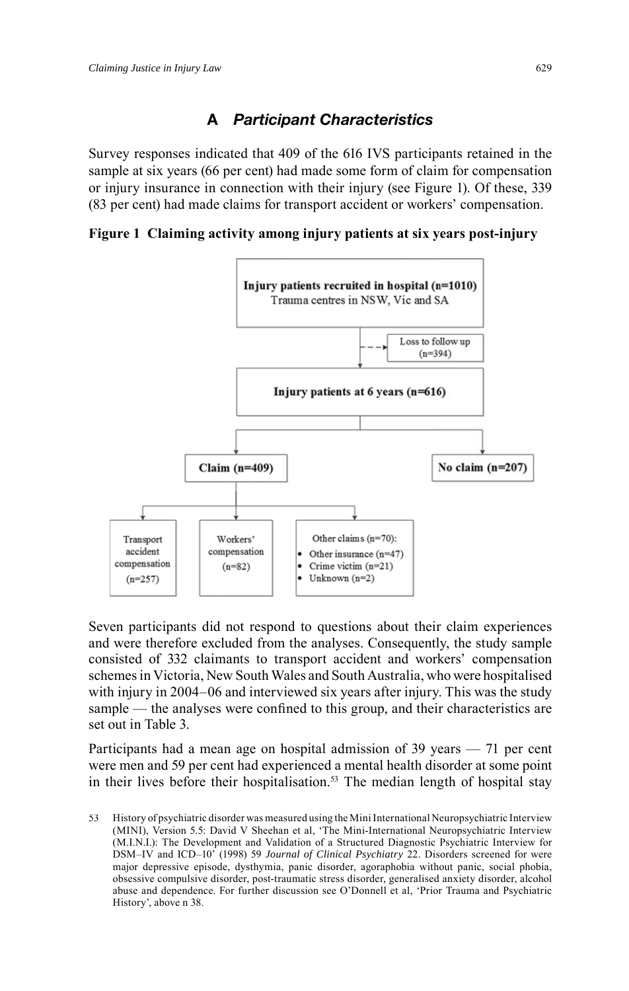# **A** *Participant Characteristics*

Survey responses indicated that 409 of the 616 IVS participants retained in the sample at six years (66 per cent) had made some form of claim for compensation or injury insurance in connection with their injury (see Figure 1). Of these, 339 (83 per cent) had made claims for transport accident or workers' compensation.

**Figure 1 Claiming activity among injury patients at six years post-injury**



Seven participants did not respond to questions about their claim experiences and were therefore excluded from the analyses. Consequently, the study sample consisted of 332 claimants to transport accident and workers' compensation schemes in Victoria, New South Wales and South Australia, who were hospitalised with injury in 2004–06 and interviewed six years after injury. This was the study sample  $-$  the analyses were confined to this group, and their characteristics are set out in Table 3.

Participants had a mean age on hospital admission of 39 years — 71 per cent were men and 59 per cent had experienced a mental health disorder at some point in their lives before their hospitalisation. 53 The median length of hospital stay

<sup>53</sup> History of psychiatric disorder was measured using the Mini International Neuropsychiatric Interview (MINI), Version 5.5: David V Sheehan et al, 'The Mini-International Neuropsychiatric Interview (M.I.N.I.): The Development and Validation of a Structured Diagnostic Psychiatric Interview for DSM–IV and ICD–10' (1998) 59 *Journal of Clinical Psychiatry* 22. Disorders screened for were major depressive episode, dysthymia, panic disorder, agoraphobia without panic, social phobia, obsessive compulsive disorder, post-traumatic stress disorder, generalised anxiety disorder, alcohol abuse and dependence. For further discussion see O'Donnell et al, 'Prior Trauma and Psychiatric History', above n 38.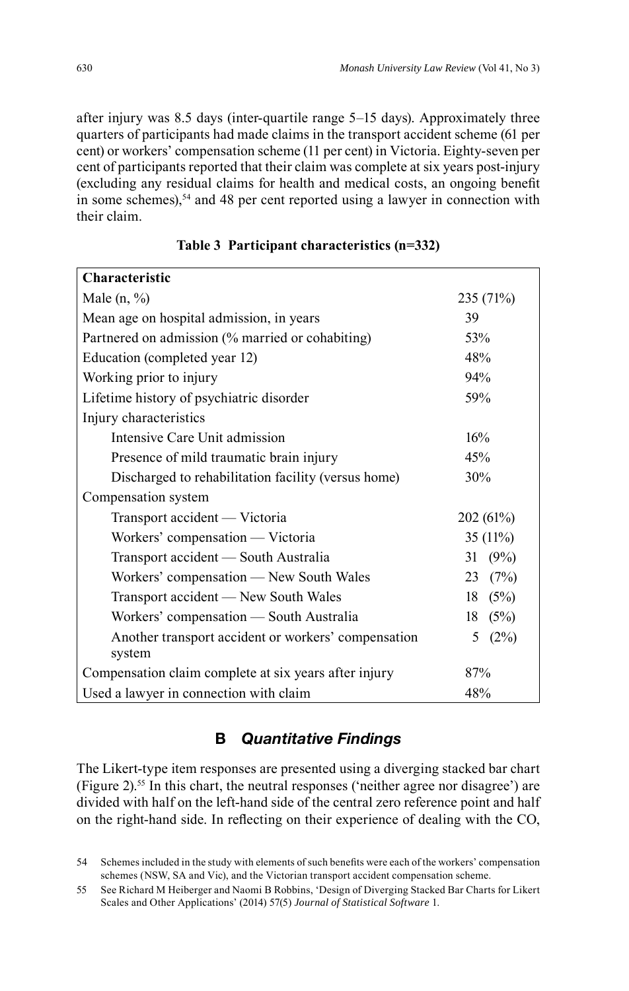after injury was 8.5 days (inter-quartile range 5–15 days). Approximately three quarters of participants had made claims in the transport accident scheme (61 per cent) or workers' compensation scheme (11 per cent) in Victoria. Eighty-seven per cent of participants reported that their claim was complete at six years post-injury (excluding any residual claims for health and medical costs, an ongoing benefit in some schemes), 54 and 48 per cent reported using a lawyer in connection with their claim.

| <b>Characteristic</b>                                 |            |  |  |
|-------------------------------------------------------|------------|--|--|
| Male $(n, %)$                                         | 235 (71%)  |  |  |
| Mean age on hospital admission, in years              | 39         |  |  |
| Partnered on admission (% married or cohabiting)      | 53%        |  |  |
| Education (completed year 12)                         | 48%        |  |  |
| Working prior to injury                               | 94%        |  |  |
| Lifetime history of psychiatric disorder              | 59%        |  |  |
| Injury characteristics                                |            |  |  |
| Intensive Care Unit admission                         | 16%        |  |  |
| Presence of mild traumatic brain injury               | 45%        |  |  |
| Discharged to rehabilitation facility (versus home)   | 30%        |  |  |
| Compensation system                                   |            |  |  |
| Transport accident — Victoria                         | 202 (61%)  |  |  |
| Workers' compensation — Victoria                      | 35 (11%)   |  |  |
| Transport accident - South Australia                  | (9%)<br>31 |  |  |
| Workers' compensation - New South Wales               | (7%)<br>23 |  |  |
| Transport accident — New South Wales                  | 18<br>(5%) |  |  |
| Workers' compensation — South Australia               | (5%)<br>18 |  |  |
| Another transport accident or workers' compensation   | (2%)<br>5  |  |  |
| system                                                |            |  |  |
| Compensation claim complete at six years after injury | 87%        |  |  |
| Used a lawyer in connection with claim                | 48%        |  |  |

|  |  | Table 3 Participant characteristics (n=332) |  |  |
|--|--|---------------------------------------------|--|--|
|--|--|---------------------------------------------|--|--|

## **B** *Quantitative Findings*

The Likert-type item responses are presented using a diverging stacked bar chart (Figure 2). 55 In this chart, the neutral responses ('neither agree nor disagree') are divided with half on the left-hand side of the central zero reference point and half on the right-hand side. In reflecting on their experience of dealing with the CO,

<sup>54</sup> Schemes included in the study with elements of such benefits were each of the workers' compensation schemes (NSW, SA and Vic), and the Victorian transport accident compensation scheme.

<sup>55</sup> See Richard M Heiberger and Naomi B Robbins, 'Design of Diverging Stacked Bar Charts for Likert Scales and Other Applications' (2014) 57(5) *Journal of Statistical Software* 1.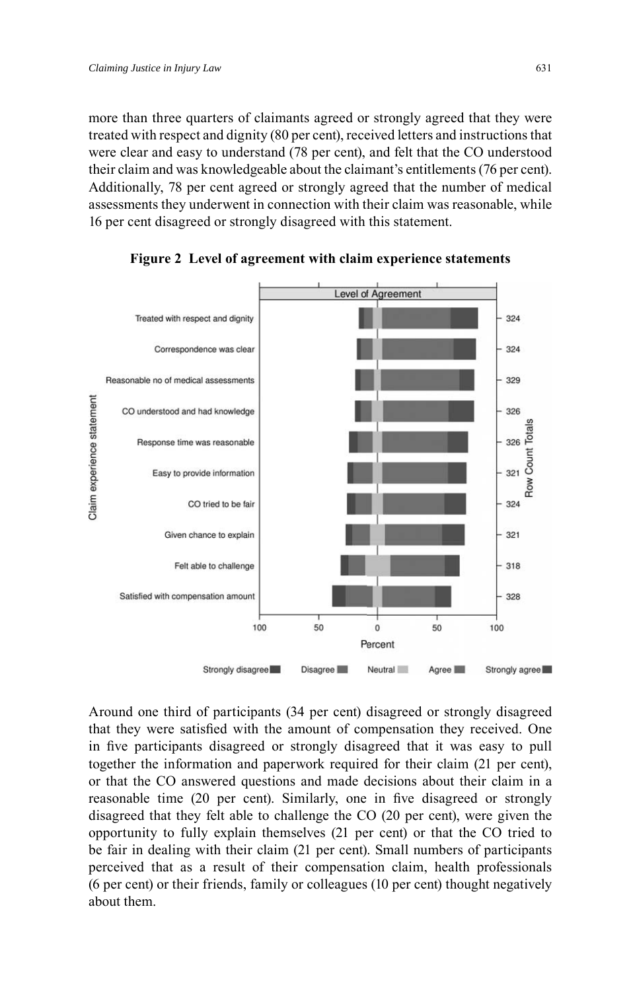more than three quarters of claimants agreed or strongly agreed that they were treated with respect and dignity (80 per cent), received letters and instructions that were clear and easy to understand (78 per cent), and felt that the CO understood their claim and was knowledgeable about the claimant's entitlements (76 per cent). Additionally, 78 per cent agreed or strongly agreed that the number of medical assessments they underwent in connection with their claim was reasonable, while 16 per cent disagreed or strongly disagreed with this statement.



**Figure 2 Level of agreement with claim experience statements**

Around one third of participants (34 per cent) disagreed or strongly disagreed that they were satisfied with the amount of compensation they received. One in five participants disagreed or strongly disagreed that it was easy to pull together the information and paperwork required for their claim (21 per cent), or that the CO answered questions and made decisions about their claim in a reasonable time (20 per cent). Similarly, one in five disagreed or strongly disagreed that they felt able to challenge the CO (20 per cent), were given the opportunity to fully explain themselves (21 per cent) or that the CO tried to be fair in dealing with their claim (21 per cent). Small numbers of participants perceived that as a result of their compensation claim, health professionals (6 per cent) or their friends, family or colleagues (10 per cent) thought negatively about them.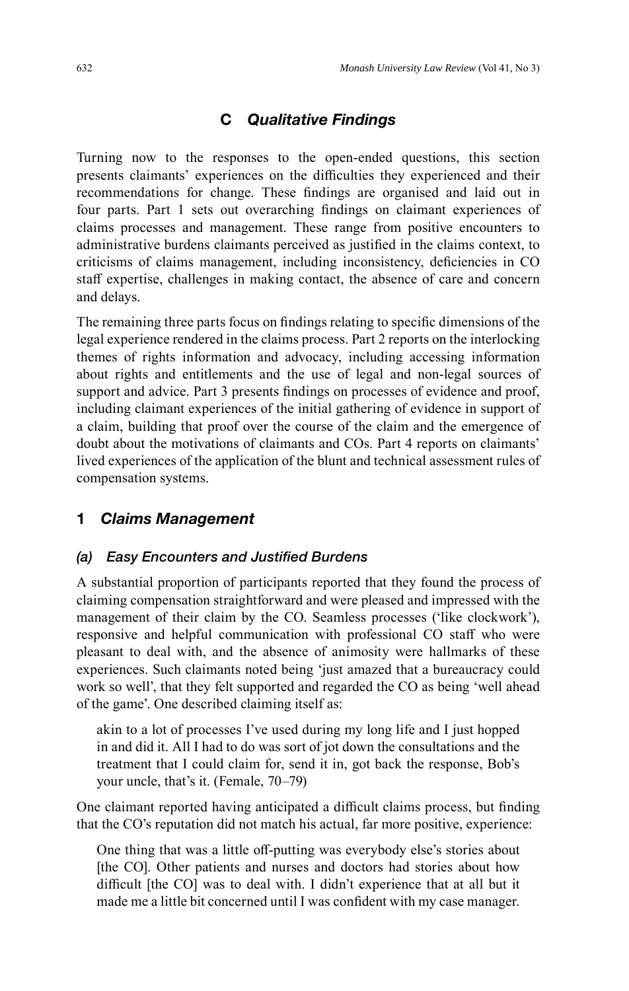# **C** *Qualitative Findings*

Turning now to the responses to the open-ended questions, this section presents claimants' experiences on the difficulties they experienced and their recommendations for change. These findings are organised and laid out in four parts. Part 1 sets out overarching findings on claimant experiences of claims processes and management. These range from positive encounters to administrative burdens claimants perceived as justified in the claims context, to criticisms of claims management, including inconsistency, deficiencies in CO staff expertise, challenges in making contact, the absence of care and concern and delays.

The remaining three parts focus on findings relating to specific dimensions of the legal experience rendered in the claims process. Part 2 reports on the interlocking themes of rights information and advocacy, including accessing information about rights and entitlements and the use of legal and non-legal sources of support and advice. Part 3 presents findings on processes of evidence and proof, including claimant experiences of the initial gathering of evidence in support of a claim, building that proof over the course of the claim and the emergence of doubt about the motivations of claimants and COs. Part 4 reports on claimants' lived experiences of the application of the blunt and technical assessment rules of compensation systems.

## **1** *Claims Management*

#### *(a) Easy Encounters and Justified Burdens*

A substantial proportion of participants reported that they found the process of claiming compensation straightforward and were pleased and impressed with the management of their claim by the CO. Seamless processes ('like clockwork'), responsive and helpful communication with professional CO staff who were pleasant to deal with, and the absence of animosity were hallmarks of these experiences. Such claimants noted being 'just amazed that a bureaucracy could work so well', that they felt supported and regarded the CO as being 'well ahead of the game'. One described claiming itself as:

akin to a lot of processes I've used during my long life and I just hopped in and did it. All I had to do was sort of jot down the consultations and the treatment that I could claim for, send it in, got back the response, Bob's your uncle, that's it. (Female, 70–79)

One claimant reported having anticipated a difficult claims process, but finding that the CO's reputation did not match his actual, far more positive, experience:

One thing that was a little off -putting was everybody else's stories about [the CO]. Other patients and nurses and doctors had stories about how difficult [the CO] was to deal with. I didn't experience that at all but it made me a little bit concerned until I was confident with my case manager.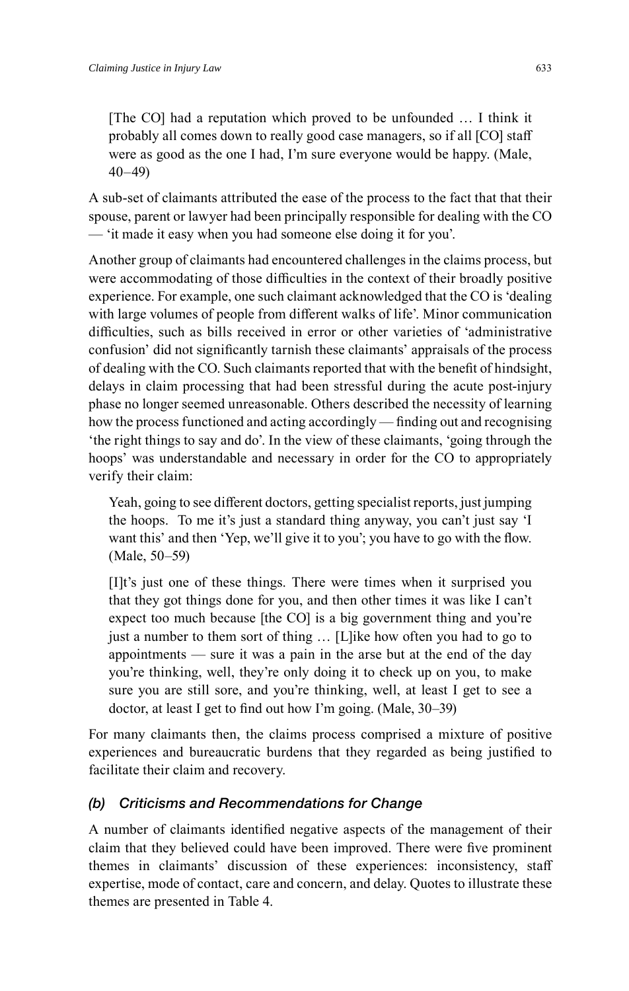[The CO] had a reputation which proved to be unfounded … I think it probably all comes down to really good case managers, so if all [CO] staff were as good as the one I had, I'm sure everyone would be happy. (Male, 40–49)

A sub-set of claimants attributed the ease of the process to the fact that that their spouse, parent or lawyer had been principally responsible for dealing with the CO — 'it made it easy when you had someone else doing it for you'.

Another group of claimants had encountered challenges in the claims process, but were accommodating of those difficulties in the context of their broadly positive experience. For example, one such claimant acknowledged that the CO is 'dealing with large volumes of people from different walks of life'. Minor communication difficulties, such as bills received in error or other varieties of 'administrative confusion' did not significantly tarnish these claimants' appraisals of the process of dealing with the CO. Such claimants reported that with the benefit of hindsight, delays in claim processing that had been stressful during the acute post-injury phase no longer seemed unreasonable. Others described the necessity of learning how the process functioned and acting accordingly — finding out and recognising 'the right things to say and do'. In the view of these claimants, 'going through the hoops' was understandable and necessary in order for the CO to appropriately verify their claim:

Yeah, going to see different doctors, getting specialist reports, just jumping the hoops. To me it's just a standard thing anyway, you can't just say 'I want this' and then 'Yep, we'll give it to you'; you have to go with the flow. (Male, 50–59)

[I]t's just one of these things. There were times when it surprised you that they got things done for you, and then other times it was like I can't expect too much because [the CO] is a big government thing and you're just a number to them sort of thing ... [L]ike how often you had to go to appointments — sure it was a pain in the arse but at the end of the day you're thinking, well, they're only doing it to check up on you, to make sure you are still sore, and you're thinking, well, at least I get to see a doctor, at least I get to find out how I'm going. (Male,  $30-39$ )

For many claimants then, the claims process comprised a mixture of positive experiences and bureaucratic burdens that they regarded as being justified to facilitate their claim and recovery.

## *(b) Criticisms and Recommendations for Change*

A number of claimants identified negative aspects of the management of their claim that they believed could have been improved. There were five prominent themes in claimants' discussion of these experiences: inconsistency, staff expertise, mode of contact, care and concern, and delay. Quotes to illustrate these themes are presented in Table 4.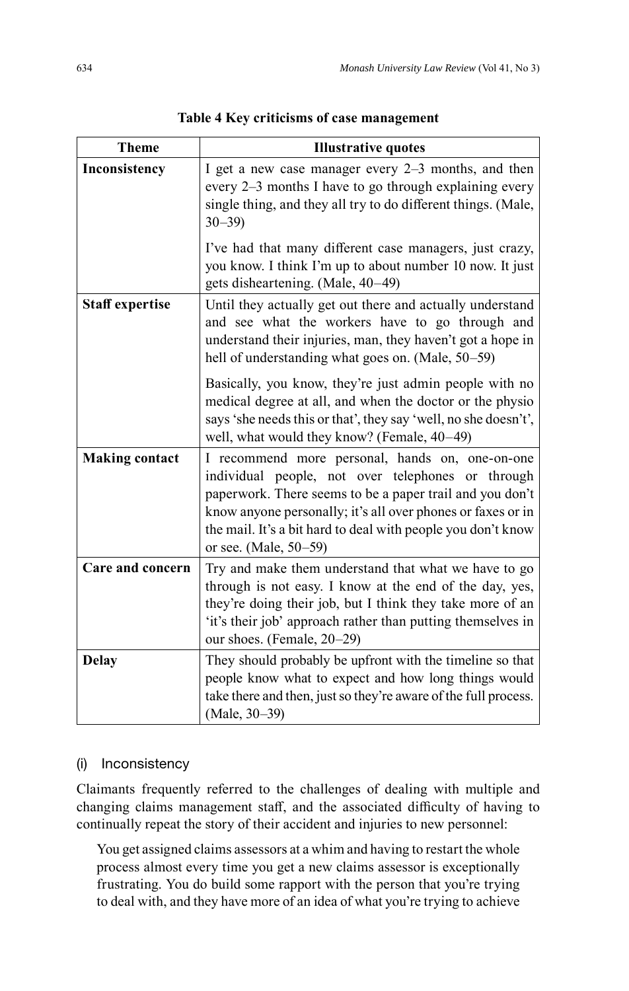| <b>Theme</b>           | <b>Illustrative quotes</b>                                                                                                                                                                                                                                                                                               |  |
|------------------------|--------------------------------------------------------------------------------------------------------------------------------------------------------------------------------------------------------------------------------------------------------------------------------------------------------------------------|--|
| Inconsistency          | I get a new case manager every 2-3 months, and then<br>every 2–3 months I have to go through explaining every<br>single thing, and they all try to do different things. (Male,<br>$30 - 39$                                                                                                                              |  |
|                        | I've had that many different case managers, just crazy,<br>you know. I think I'm up to about number 10 now. It just<br>gets disheartening. (Male, 40-49)                                                                                                                                                                 |  |
| <b>Staff</b> expertise | Until they actually get out there and actually understand<br>and see what the workers have to go through and<br>understand their injuries, man, they haven't got a hope in<br>hell of understanding what goes on. (Male, 50–59)                                                                                          |  |
|                        | Basically, you know, they're just admin people with no<br>medical degree at all, and when the doctor or the physio<br>says 'she needs this or that', they say 'well, no she doesn't',<br>well, what would they know? (Female, 40-49)                                                                                     |  |
| <b>Making contact</b>  | I recommend more personal, hands on, one-on-one<br>individual people, not over telephones or through<br>paperwork. There seems to be a paper trail and you don't<br>know anyone personally; it's all over phones or faxes or in<br>the mail. It's a bit hard to deal with people you don't know<br>or see. (Male, 50–59) |  |
| Care and concern       | Try and make them understand that what we have to go<br>through is not easy. I know at the end of the day, yes,<br>they're doing their job, but I think they take more of an<br>'it's their job' approach rather than putting themselves in<br>our shoes. (Female, 20-29)                                                |  |
| <b>Delay</b>           | They should probably be upfront with the timeline so that<br>people know what to expect and how long things would<br>take there and then, just so they're aware of the full process.<br>(Male, 30-39)                                                                                                                    |  |

**Table 4 Key criticisms of case management**

#### (i) Inconsistency

Claimants frequently referred to the challenges of dealing with multiple and changing claims management staff, and the associated difficulty of having to continually repeat the story of their accident and injuries to new personnel:

You get assigned claims assessors at a whim and having to restart the whole process almost every time you get a new claims assessor is exceptionally frustrating. You do build some rapport with the person that you're trying to deal with, and they have more of an idea of what you're trying to achieve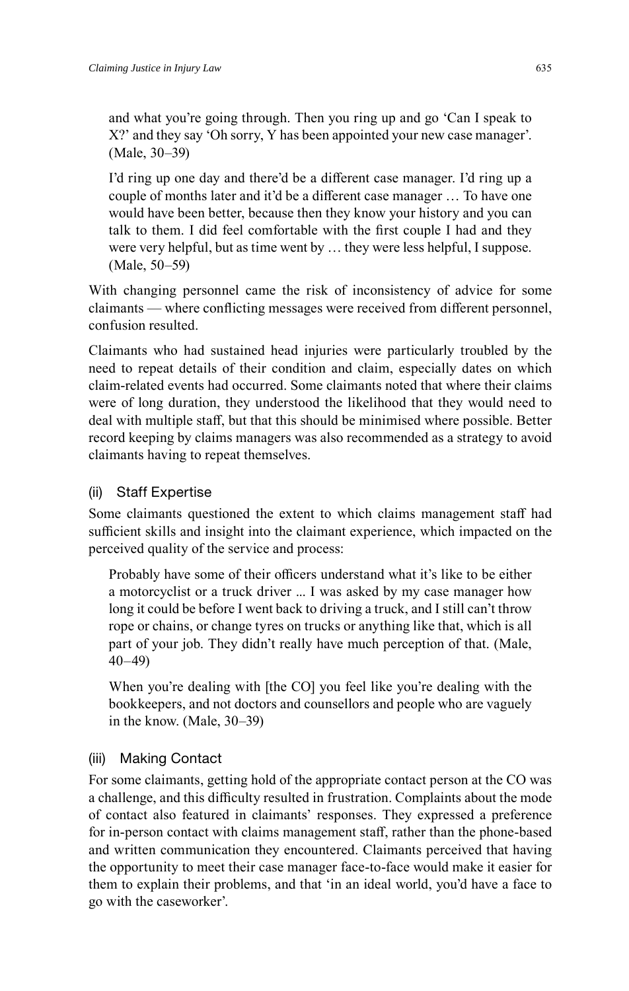and what you're going through. Then you ring up and go 'Can I speak to X?' and they say 'Oh sorry, Y has been appointed your new case manager'. (Male, 30–39)

I'd ring up one day and there'd be a different case manager. I'd ring up a couple of months later and it'd be a different case manager ... To have one would have been better, because then they know your history and you can talk to them. I did feel comfortable with the first couple I had and they were very helpful, but as time went by … they were less helpful, I suppose. (Male, 50–59)

With changing personnel came the risk of inconsistency of advice for some claimants — where conflicting messages were received from different personnel, confusion resulted.

Claimants who had sustained head injuries were particularly troubled by the need to repeat details of their condition and claim, especially dates on which claim-related events had occurred. Some claimants noted that where their claims were of long duration, they understood the likelihood that they would need to deal with multiple staff , but that this should be minimised where possible. Better record keeping by claims managers was also recommended as a strategy to avoid claimants having to repeat themselves.

## (ii) Staff Expertise

Some claimants questioned the extent to which claims management staff had sufficient skills and insight into the claimant experience, which impacted on the perceived quality of the service and process:

Probably have some of their officers understand what it's like to be either a motorcyclist or a truck driver ... I was asked by my case manager how long it could be before I went back to driving a truck, and I still can't throw rope or chains, or change tyres on trucks or anything like that, which is all part of your job. They didn't really have much perception of that. (Male, 40–49)

When you're dealing with [the CO] you feel like you're dealing with the bookkeepers, and not doctors and counsellors and people who are vaguely in the know. (Male, 30–39)

## (iii) Making Contact

For some claimants, getting hold of the appropriate contact person at the CO was a challenge, and this difficulty resulted in frustration. Complaints about the mode of contact also featured in claimants' responses. They expressed a preference for in-person contact with claims management staff, rather than the phone-based and written communication they encountered. Claimants perceived that having the opportunity to meet their case manager face-to-face would make it easier for them to explain their problems, and that 'in an ideal world, you'd have a face to go with the caseworker'.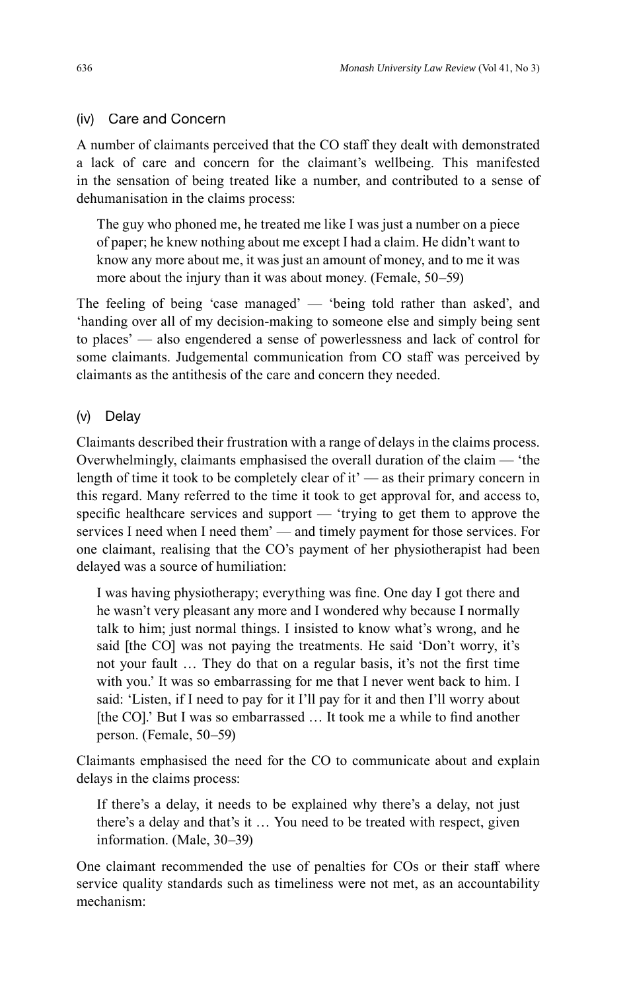## (iv) Care and Concern

A number of claimants perceived that the CO staff they dealt with demonstrated a lack of care and concern for the claimant's wellbeing. This manifested in the sensation of being treated like a number, and contributed to a sense of dehumanisation in the claims process:

The guy who phoned me, he treated me like I was just a number on a piece of paper; he knew nothing about me except I had a claim. He didn't want to know any more about me, it was just an amount of money, and to me it was more about the injury than it was about money. (Female, 50–59)

The feeling of being 'case managed' — 'being told rather than asked', and 'handing over all of my decision-making to someone else and simply being sent to places' — also engendered a sense of powerlessness and lack of control for some claimants. Judgemental communication from CO staff was perceived by claimants as the antithesis of the care and concern they needed.

## (v) Delay

Claimants described their frustration with a range of delays in the claims process. Overwhelmingly, claimants emphasised the overall duration of the claim — 'the length of time it took to be completely clear of it' — as their primary concern in this regard. Many referred to the time it took to get approval for, and access to, specific healthcare services and support  $-$  'trying to get them to approve the services I need when I need them' — and timely payment for those services. For one claimant, realising that the CO's payment of her physiotherapist had been delayed was a source of humiliation:

I was having physiotherapy; everything was fine. One day I got there and he wasn't very pleasant any more and I wondered why because I normally talk to him; just normal things. I insisted to know what's wrong, and he said [the CO] was not paying the treatments. He said 'Don't worry, it's not your fault ... They do that on a regular basis, it's not the first time with you.' It was so embarrassing for me that I never went back to him. I said: 'Listen, if I need to pay for it I'll pay for it and then I'll worry about [the CO].' But I was so embarrassed ... It took me a while to find another person. (Female, 50–59)

Claimants emphasised the need for the CO to communicate about and explain delays in the claims process:

If there's a delay, it needs to be explained why there's a delay, not just there's a delay and that's it … You need to be treated with respect, given information. (Male, 30–39)

One claimant recommended the use of penalties for COs or their staff where service quality standards such as timeliness were not met, as an accountability mechanism: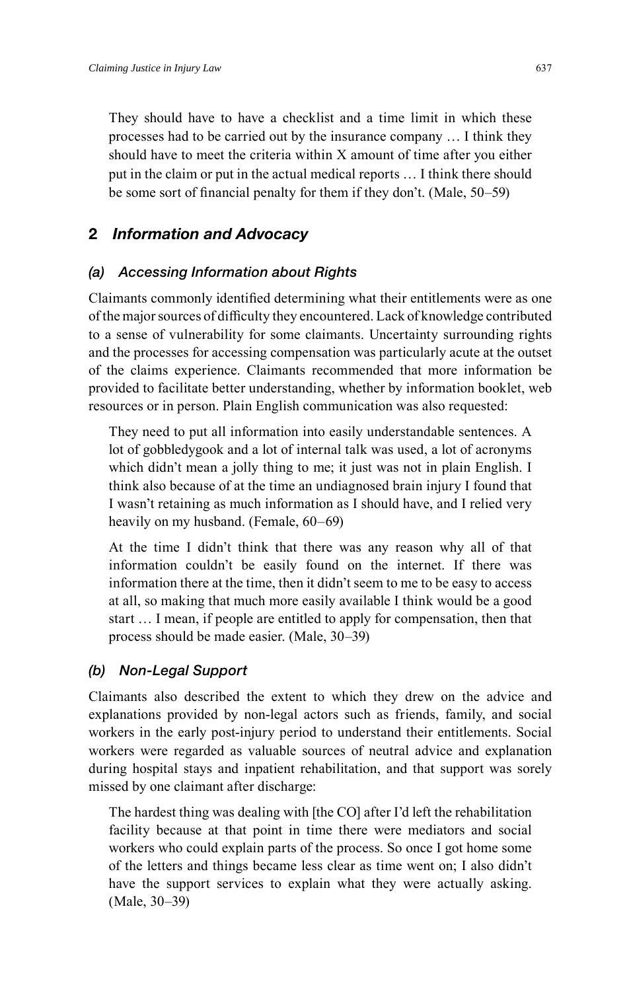They should have to have a checklist and a time limit in which these processes had to be carried out by the insurance company … I think they should have to meet the criteria within X amount of time after you either put in the claim or put in the actual medical reports … I think there should be some sort of financial penalty for them if they don't. (Male, 50–59)

## **2** *Information and Advocacy*

### *(a) Accessing Information about Rights*

Claimants commonly identified determining what their entitlements were as one of the major sources of difficulty they encountered. Lack of knowledge contributed to a sense of vulnerability for some claimants. Uncertainty surrounding rights and the processes for accessing compensation was particularly acute at the outset of the claims experience. Claimants recommended that more information be provided to facilitate better understanding, whether by information booklet, web resources or in person. Plain English communication was also requested:

They need to put all information into easily understandable sentences. A lot of gobbledygook and a lot of internal talk was used, a lot of acronyms which didn't mean a jolly thing to me; it just was not in plain English. I think also because of at the time an undiagnosed brain injury I found that I wasn't retaining as much information as I should have, and I relied very heavily on my husband. (Female, 60–69)

At the time I didn't think that there was any reason why all of that information couldn't be easily found on the internet. If there was information there at the time, then it didn't seem to me to be easy to access at all, so making that much more easily available I think would be a good start … I mean, if people are entitled to apply for compensation, then that process should be made easier. (Male, 30–39)

## *(b) Non-Legal Support*

Claimants also described the extent to which they drew on the advice and explanations provided by non-legal actors such as friends, family, and social workers in the early post-injury period to understand their entitlements. Social workers were regarded as valuable sources of neutral advice and explanation during hospital stays and inpatient rehabilitation, and that support was sorely missed by one claimant after discharge:

The hardest thing was dealing with [the CO] after I'd left the rehabilitation facility because at that point in time there were mediators and social workers who could explain parts of the process. So once I got home some of the letters and things became less clear as time went on; I also didn't have the support services to explain what they were actually asking. (Male, 30–39)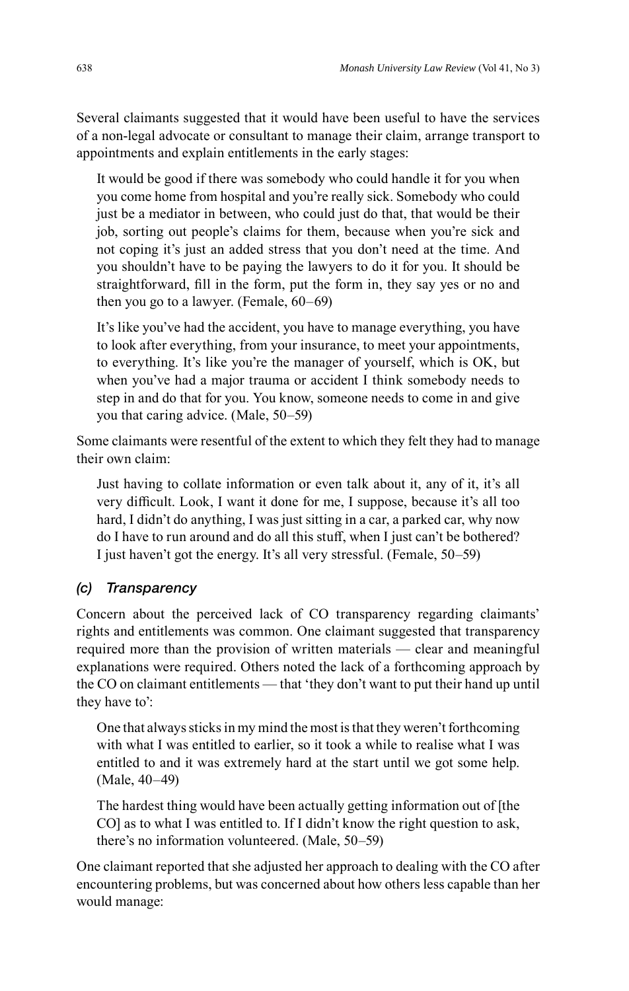Several claimants suggested that it would have been useful to have the services of a non-legal advocate or consultant to manage their claim, arrange transport to appointments and explain entitlements in the early stages:

It would be good if there was somebody who could handle it for you when you come home from hospital and you're really sick. Somebody who could just be a mediator in between, who could just do that, that would be their job, sorting out people's claims for them, because when you're sick and not coping it's just an added stress that you don't need at the time. And you shouldn't have to be paying the lawyers to do it for you. It should be straightforward, fill in the form, put the form in, they say yes or no and then you go to a lawyer. (Female, 60–69)

It's like you've had the accident, you have to manage everything, you have to look after everything, from your insurance, to meet your appointments, to everything. It's like you're the manager of yourself, which is OK, but when you've had a major trauma or accident I think somebody needs to step in and do that for you. You know, someone needs to come in and give you that caring advice. (Male, 50–59)

Some claimants were resentful of the extent to which they felt they had to manage their own claim:

Just having to collate information or even talk about it, any of it, it's all very difficult. Look, I want it done for me, I suppose, because it's all too hard, I didn't do anything, I was just sitting in a car, a parked car, why now do I have to run around and do all this stuff, when I just can't be bothered? I just haven't got the energy. It's all very stressful. (Female, 50–59)

#### *(c) Transparency*

Concern about the perceived lack of CO transparency regarding claimants' rights and entitlements was common. One claimant suggested that transparency required more than the provision of written materials — clear and meaningful explanations were required. Others noted the lack of a forthcoming approach by the CO on claimant entitlements — that 'they don't want to put their hand up until they have to':

One that always sticks in my mind the most is that they weren't forthcoming with what I was entitled to earlier, so it took a while to realise what I was entitled to and it was extremely hard at the start until we got some help. (Male, 40–49)

The hardest thing would have been actually getting information out of [the CO] as to what I was entitled to. If I didn't know the right question to ask, there's no information volunteered. (Male, 50–59)

One claimant reported that she adjusted her approach to dealing with the CO after encountering problems, but was concerned about how others less capable than her would manage: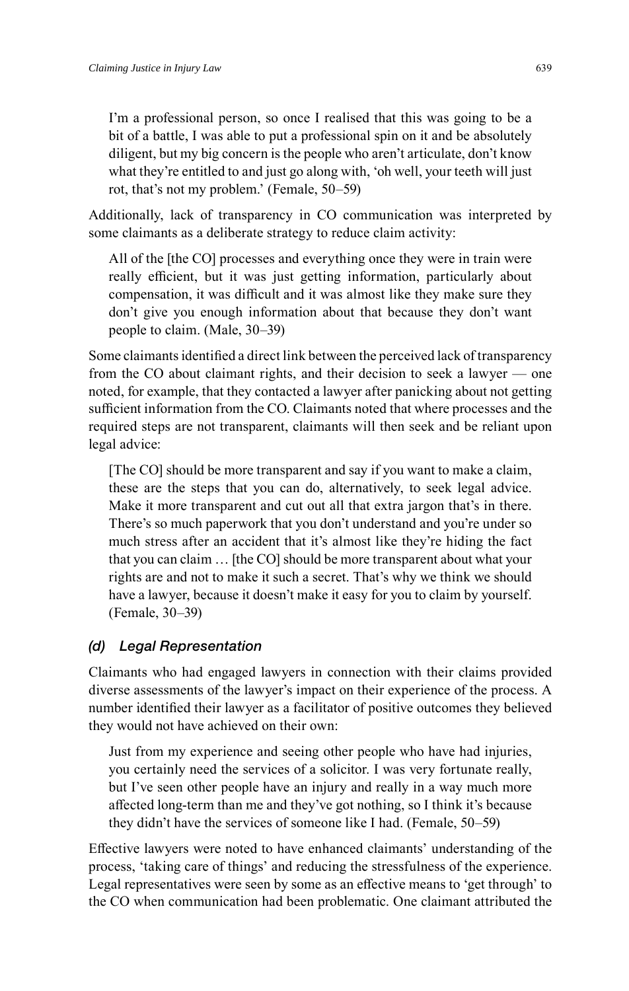I'm a professional person, so once I realised that this was going to be a bit of a battle, I was able to put a professional spin on it and be absolutely diligent, but my big concern is the people who aren't articulate, don't know what they're entitled to and just go along with, 'oh well, your teeth will just rot, that's not my problem.' (Female, 50–59)

Additionally, lack of transparency in CO communication was interpreted by some claimants as a deliberate strategy to reduce claim activity:

All of the [the CO] processes and everything once they were in train were really efficient, but it was just getting information, particularly about compensation, it was difficult and it was almost like they make sure they don't give you enough information about that because they don't want people to claim. (Male, 30–39)

Some claimants identified a direct link between the perceived lack of transparency from the CO about claimant rights, and their decision to seek a lawyer — one noted, for example, that they contacted a lawyer after panicking about not getting sufficient information from the CO. Claimants noted that where processes and the required steps are not transparent, claimants will then seek and be reliant upon legal advice:

[The CO] should be more transparent and say if you want to make a claim, these are the steps that you can do, alternatively, to seek legal advice. Make it more transparent and cut out all that extra jargon that's in there. There's so much paperwork that you don't understand and you're under so much stress after an accident that it's almost like they're hiding the fact that you can claim … [the CO] should be more transparent about what your rights are and not to make it such a secret. That's why we think we should have a lawyer, because it doesn't make it easy for you to claim by yourself. (Female, 30–39)

#### *(d) Legal Representation*

Claimants who had engaged lawyers in connection with their claims provided diverse assessments of the lawyer's impact on their experience of the process. A number identified their lawyer as a facilitator of positive outcomes they believed they would not have achieved on their own:

Just from my experience and seeing other people who have had injuries, you certainly need the services of a solicitor. I was very fortunate really, but I've seen other people have an injury and really in a way much more affected long-term than me and they've got nothing, so I think it's because they didn't have the services of someone like I had. (Female, 50–59)

Eff ective lawyers were noted to have enhanced claimants' understanding of the process, 'taking care of things' and reducing the stressfulness of the experience. Legal representatives were seen by some as an effective means to 'get through' to the CO when communication had been problematic. One claimant attributed the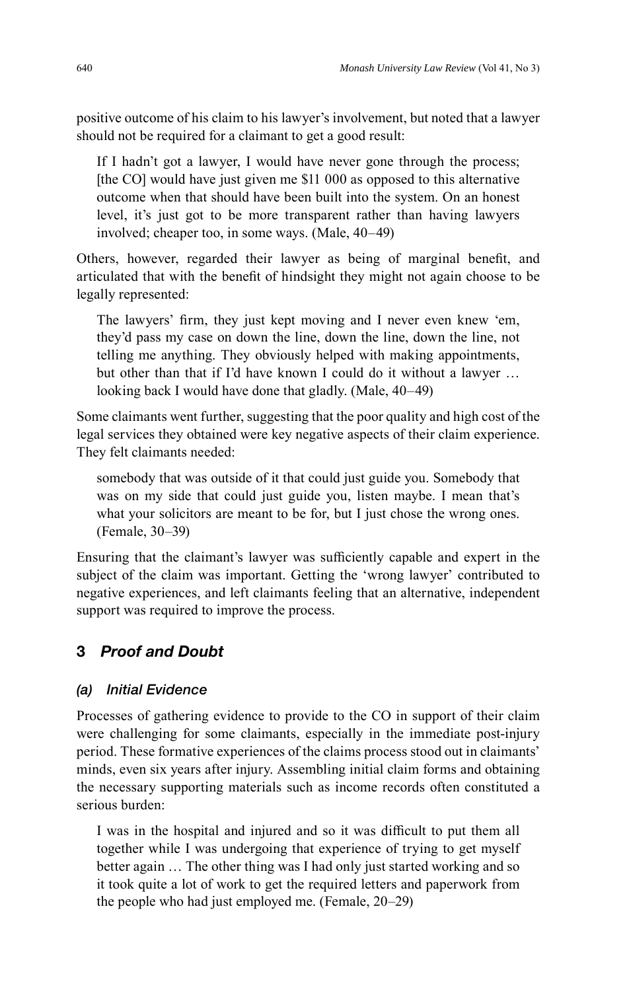positive outcome of his claim to his lawyer's involvement, but noted that a lawyer should not be required for a claimant to get a good result:

If I hadn't got a lawyer, I would have never gone through the process; [the CO] would have just given me \$11 000 as opposed to this alternative outcome when that should have been built into the system. On an honest level, it's just got to be more transparent rather than having lawyers involved; cheaper too, in some ways. (Male, 40–49)

Others, however, regarded their lawyer as being of marginal benefit, and articulated that with the benefit of hindsight they might not again choose to be legally represented:

The lawyers' firm, they just kept moving and I never even knew 'em, they'd pass my case on down the line, down the line, down the line, not telling me anything. They obviously helped with making appointments, but other than that if I'd have known I could do it without a lawyer … looking back I would have done that gladly. (Male, 40–49)

Some claimants went further, suggesting that the poor quality and high cost of the legal services they obtained were key negative aspects of their claim experience. They felt claimants needed:

somebody that was outside of it that could just guide you. Somebody that was on my side that could just guide you, listen maybe. I mean that's what your solicitors are meant to be for, but I just chose the wrong ones. (Female, 30–39)

Ensuring that the claimant's lawyer was sufficiently capable and expert in the subject of the claim was important. Getting the 'wrong lawyer' contributed to negative experiences, and left claimants feeling that an alternative, independent support was required to improve the process.

## **3** *Proof and Doubt*

#### *(a) Initial Evidence*

Processes of gathering evidence to provide to the CO in support of their claim were challenging for some claimants, especially in the immediate post-injury period. These formative experiences of the claims process stood out in claimants' minds, even six years after injury. Assembling initial claim forms and obtaining the necessary supporting materials such as income records often constituted a serious burden:

I was in the hospital and injured and so it was difficult to put them all together while I was undergoing that experience of trying to get myself better again … The other thing was I had only just started working and so it took quite a lot of work to get the required letters and paperwork from the people who had just employed me. (Female, 20–29)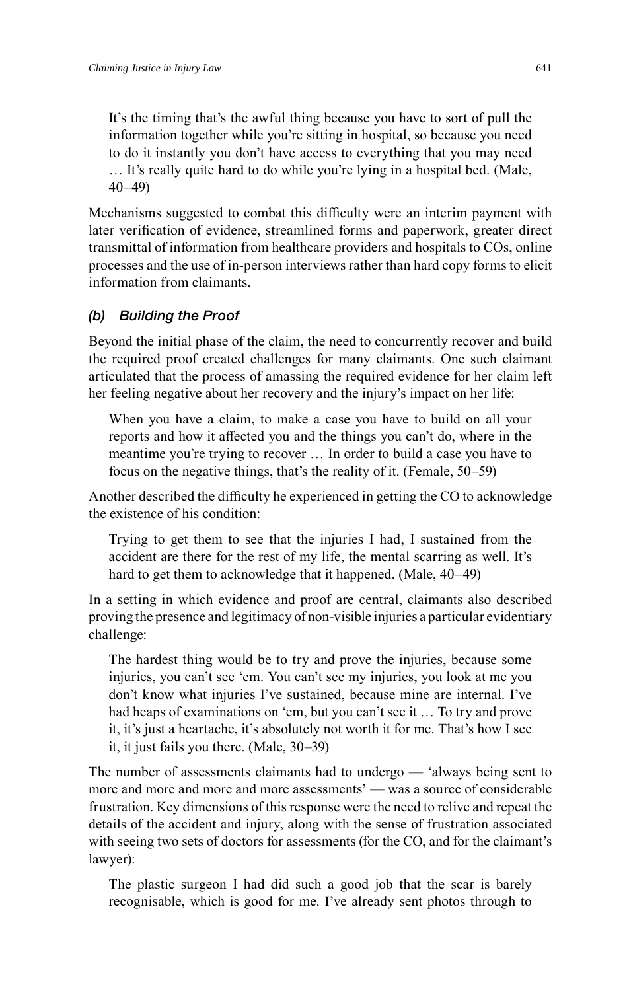It's the timing that's the awful thing because you have to sort of pull the information together while you're sitting in hospital, so because you need to do it instantly you don't have access to everything that you may need … It's really quite hard to do while you're lying in a hospital bed. (Male, 40–49)

Mechanisms suggested to combat this difficulty were an interim payment with later verification of evidence, streamlined forms and paperwork, greater direct transmittal of information from healthcare providers and hospitals to COs, online processes and the use of in-person interviews rather than hard copy forms to elicit information from claimants.

# *(b) Building the Proof*

Beyond the initial phase of the claim, the need to concurrently recover and build the required proof created challenges for many claimants. One such claimant articulated that the process of amassing the required evidence for her claim left her feeling negative about her recovery and the injury's impact on her life:

When you have a claim, to make a case you have to build on all your reports and how it affected you and the things you can't do, where in the meantime you're trying to recover … In order to build a case you have to focus on the negative things, that's the reality of it. (Female, 50–59)

Another described the difficulty he experienced in getting the CO to acknowledge the existence of his condition:

Trying to get them to see that the injuries I had, I sustained from the accident are there for the rest of my life, the mental scarring as well. It's hard to get them to acknowledge that it happened. (Male, 40–49)

In a setting in which evidence and proof are central, claimants also described proving the presence and legitimacy of non-visible injuries a particular evidentiary challenge:

The hardest thing would be to try and prove the injuries, because some injuries, you can't see 'em. You can't see my injuries, you look at me you don't know what injuries I've sustained, because mine are internal. I've had heaps of examinations on 'em, but you can't see it … To try and prove it, it's just a heartache, it's absolutely not worth it for me. That's how I see it, it just fails you there. (Male, 30–39)

The number of assessments claimants had to undergo — 'always being sent to more and more and more and more assessments' — was a source of considerable frustration. Key dimensions of this response were the need to relive and repeat the details of the accident and injury, along with the sense of frustration associated with seeing two sets of doctors for assessments (for the CO, and for the claimant's lawyer):

The plastic surgeon I had did such a good job that the scar is barely recognisable, which is good for me. I've already sent photos through to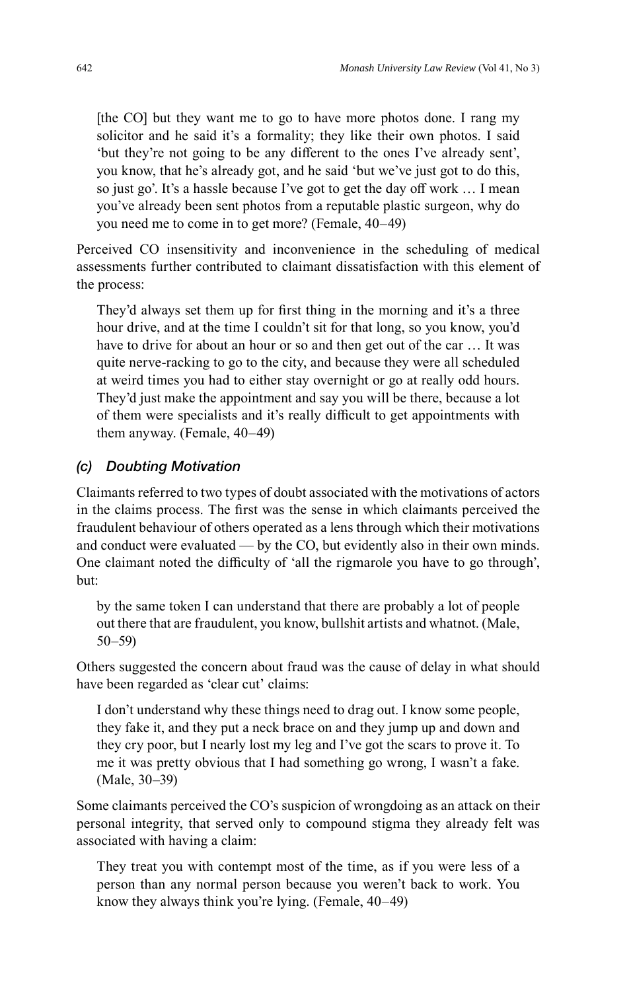[the CO] but they want me to go to have more photos done. I rang my solicitor and he said it's a formality; they like their own photos. I said 'but they're not going to be any different to the ones I've already sent', you know, that he's already got, and he said 'but we've just got to do this, so just go'. It's a hassle because I've got to get the day off work … I mean you've already been sent photos from a reputable plastic surgeon, why do you need me to come in to get more? (Female, 40–49)

Perceived CO insensitivity and inconvenience in the scheduling of medical assessments further contributed to claimant dissatisfaction with this element of the process:

They'd always set them up for first thing in the morning and it's a three hour drive, and at the time I couldn't sit for that long, so you know, you'd have to drive for about an hour or so and then get out of the car … It was quite nerve-racking to go to the city, and because they were all scheduled at weird times you had to either stay overnight or go at really odd hours. They'd just make the appointment and say you will be there, because a lot of them were specialists and it's really difficult to get appointments with them anyway. (Female, 40–49)

#### *(c) Doubting Motivation*

Claimants referred to two types of doubt associated with the motivations of actors in the claims process. The first was the sense in which claimants perceived the fraudulent behaviour of others operated as a lens through which their motivations and conduct were evaluated — by the CO, but evidently also in their own minds. One claimant noted the difficulty of 'all the rigmarole you have to go through', but:

by the same token I can understand that there are probably a lot of people out there that are fraudulent, you know, bullshit artists and whatnot. (Male, 50–59)

Others suggested the concern about fraud was the cause of delay in what should have been regarded as 'clear cut' claims:

I don't understand why these things need to drag out. I know some people, they fake it, and they put a neck brace on and they jump up and down and they cry poor, but I nearly lost my leg and I've got the scars to prove it. To me it was pretty obvious that I had something go wrong, I wasn't a fake. (Male, 30–39)

Some claimants perceived the CO's suspicion of wrongdoing as an attack on their personal integrity, that served only to compound stigma they already felt was associated with having a claim:

They treat you with contempt most of the time, as if you were less of a person than any normal person because you weren't back to work. You know they always think you're lying. (Female, 40–49)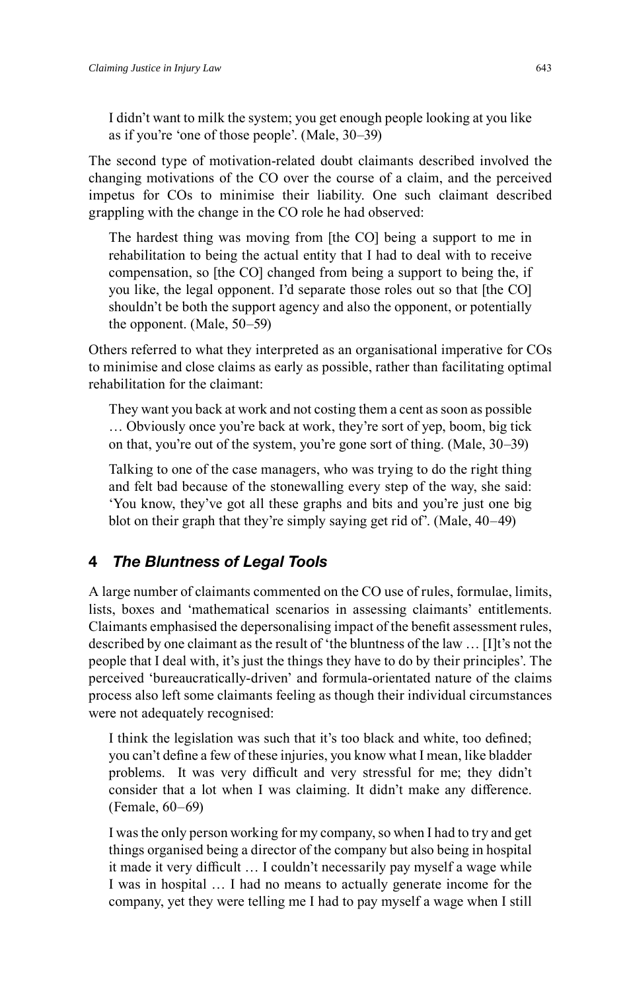I didn't want to milk the system; you get enough people looking at you like as if you're 'one of those people'. (Male, 30–39)

The second type of motivation-related doubt claimants described involved the changing motivations of the CO over the course of a claim, and the perceived impetus for COs to minimise their liability. One such claimant described grappling with the change in the CO role he had observed:

The hardest thing was moving from [the CO] being a support to me in rehabilitation to being the actual entity that I had to deal with to receive compensation, so [the CO] changed from being a support to being the, if you like, the legal opponent. I'd separate those roles out so that [the CO] shouldn't be both the support agency and also the opponent, or potentially the opponent. (Male, 50–59)

Others referred to what they interpreted as an organisational imperative for COs to minimise and close claims as early as possible, rather than facilitating optimal rehabilitation for the claimant:

They want you back at work and not costing them a cent as soon as possible … Obviously once you're back at work, they're sort of yep, boom, big tick on that, you're out of the system, you're gone sort of thing. (Male, 30–39)

Talking to one of the case managers, who was trying to do the right thing and felt bad because of the stonewalling every step of the way, she said: 'You know, they've got all these graphs and bits and you're just one big blot on their graph that they're simply saying get rid of'. (Male, 40–49)

#### **4** *The Bluntness of Legal Tools*

A large number of claimants commented on the CO use of rules, formulae, limits, lists, boxes and 'mathematical scenarios in assessing claimants' entitlements. Claimants emphasised the depersonalising impact of the benefi t assessment rules, described by one claimant as the result of 'the bluntness of the law … [I]t's not the people that I deal with, it's just the things they have to do by their principles'. The perceived 'bureaucratically-driven' and formula-orientated nature of the claims process also left some claimants feeling as though their individual circumstances were not adequately recognised:

I think the legislation was such that it's too black and white, too defined; you can't define a few of these injuries, you know what I mean, like bladder problems. It was very difficult and very stressful for me; they didn't consider that a lot when I was claiming. It didn't make any difference. (Female, 60–69)

I was the only person working for my company, so when I had to try and get things organised being a director of the company but also being in hospital it made it very difficult ... I couldn't necessarily pay myself a wage while I was in hospital … I had no means to actually generate income for the company, yet they were telling me I had to pay myself a wage when I still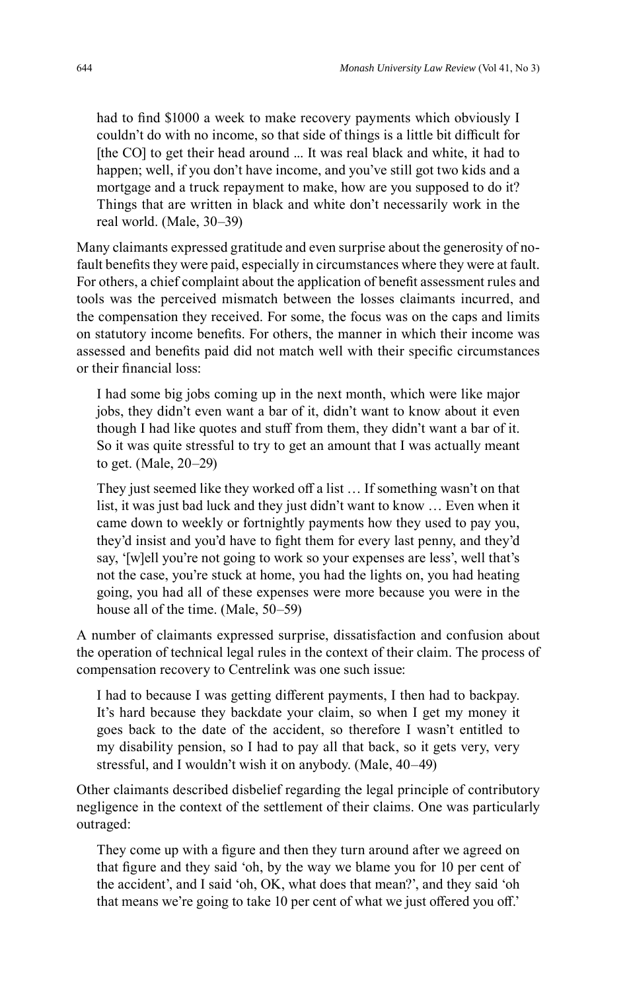had to find \$1000 a week to make recovery payments which obviously I couldn't do with no income, so that side of things is a little bit difficult for [the CO] to get their head around ... It was real black and white, it had to happen; well, if you don't have income, and you've still got two kids and a mortgage and a truck repayment to make, how are you supposed to do it? Things that are written in black and white don't necessarily work in the real world. (Male, 30–39)

Many claimants expressed gratitude and even surprise about the generosity of nofault benefits they were paid, especially in circumstances where they were at fault. For others, a chief complaint about the application of benefit assessment rules and tools was the perceived mismatch between the losses claimants incurred, and the compensation they received. For some, the focus was on the caps and limits on statutory income benefits. For others, the manner in which their income was assessed and benefits paid did not match well with their specific circumstances or their financial loss:

I had some big jobs coming up in the next month, which were like major jobs, they didn't even want a bar of it, didn't want to know about it even though I had like quotes and stuff from them, they didn't want a bar of it. So it was quite stressful to try to get an amount that I was actually meant to get. (Male, 20–29)

They just seemed like they worked off a list … If something wasn't on that list, it was just bad luck and they just didn't want to know … Even when it came down to weekly or fortnightly payments how they used to pay you, they'd insist and you'd have to fight them for every last penny, and they'd say, '[w]ell you're not going to work so your expenses are less', well that's not the case, you're stuck at home, you had the lights on, you had heating going, you had all of these expenses were more because you were in the house all of the time. (Male, 50–59)

A number of claimants expressed surprise, dissatisfaction and confusion about the operation of technical legal rules in the context of their claim. The process of compensation recovery to Centrelink was one such issue:

I had to because I was getting different payments, I then had to backpay. It's hard because they backdate your claim, so when I get my money it goes back to the date of the accident, so therefore I wasn't entitled to my disability pension, so I had to pay all that back, so it gets very, very stressful, and I wouldn't wish it on anybody. (Male, 40–49)

Other claimants described disbelief regarding the legal principle of contributory negligence in the context of the settlement of their claims. One was particularly outraged:

They come up with a figure and then they turn around after we agreed on that figure and they said 'oh, by the way we blame you for 10 per cent of the accident', and I said 'oh, OK, what does that mean?', and they said 'oh that means we're going to take 10 per cent of what we just offered you off.'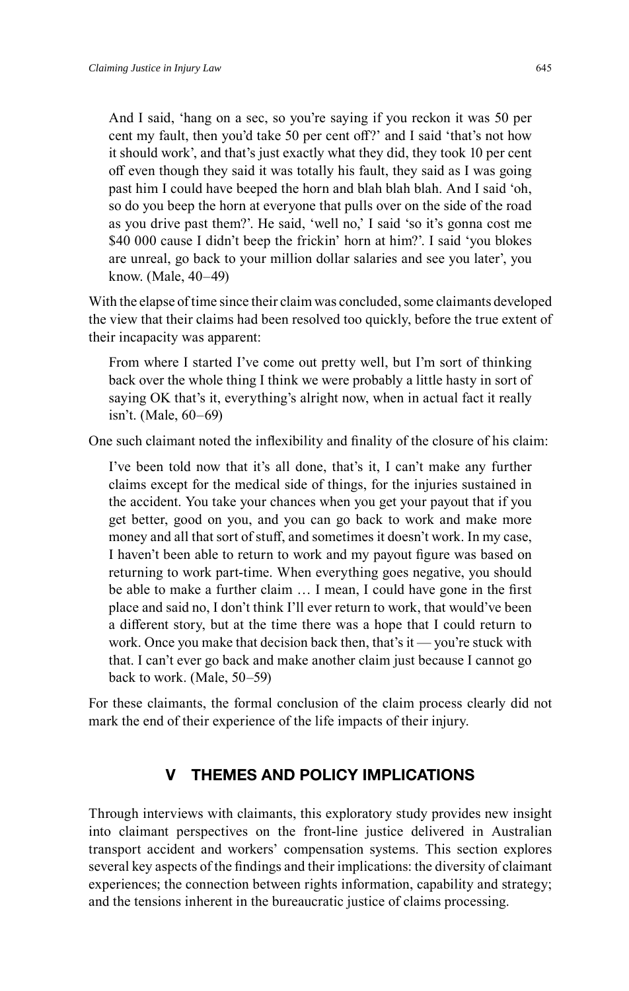And I said, 'hang on a sec, so you're saying if you reckon it was 50 per cent my fault, then you'd take 50 per cent off?' and I said 'that's not how it should work', and that's just exactly what they did, they took 10 per cent off even though they said it was totally his fault, they said as I was going past him I could have beeped the horn and blah blah blah. And I said 'oh, so do you beep the horn at everyone that pulls over on the side of the road as you drive past them?'. He said, 'well no,' I said 'so it's gonna cost me \$40 000 cause I didn't beep the frickin' horn at him?'. I said 'you blokes are unreal, go back to your million dollar salaries and see you later', you know. (Male, 40–49)

With the elapse of time since their claim was concluded, some claimants developed the view that their claims had been resolved too quickly, before the true extent of their incapacity was apparent:

From where I started I've come out pretty well, but I'm sort of thinking back over the whole thing I think we were probably a little hasty in sort of saying OK that's it, everything's alright now, when in actual fact it really isn't. (Male, 60–69)

One such claimant noted the inflexibility and finality of the closure of his claim:

I've been told now that it's all done, that's it, I can't make any further claims except for the medical side of things, for the injuries sustained in the accident. You take your chances when you get your payout that if you get better, good on you, and you can go back to work and make more money and all that sort of stuff, and sometimes it doesn't work. In my case, I haven't been able to return to work and my payout figure was based on returning to work part-time. When everything goes negative, you should be able to make a further claim ... I mean, I could have gone in the first place and said no, I don't think I'll ever return to work, that would've been a different story, but at the time there was a hope that I could return to work. Once you make that decision back then, that's it — you're stuck with that. I can't ever go back and make another claim just because I cannot go back to work. (Male, 50–59)

For these claimants, the formal conclusion of the claim process clearly did not mark the end of their experience of the life impacts of their injury.

## **V THEMES AND POLICY IMPLICATIONS**

Through interviews with claimants, this exploratory study provides new insight into claimant perspectives on the front-line justice delivered in Australian transport accident and workers' compensation systems. This section explores several key aspects of the findings and their implications: the diversity of claimant experiences; the connection between rights information, capability and strategy; and the tensions inherent in the bureaucratic justice of claims processing.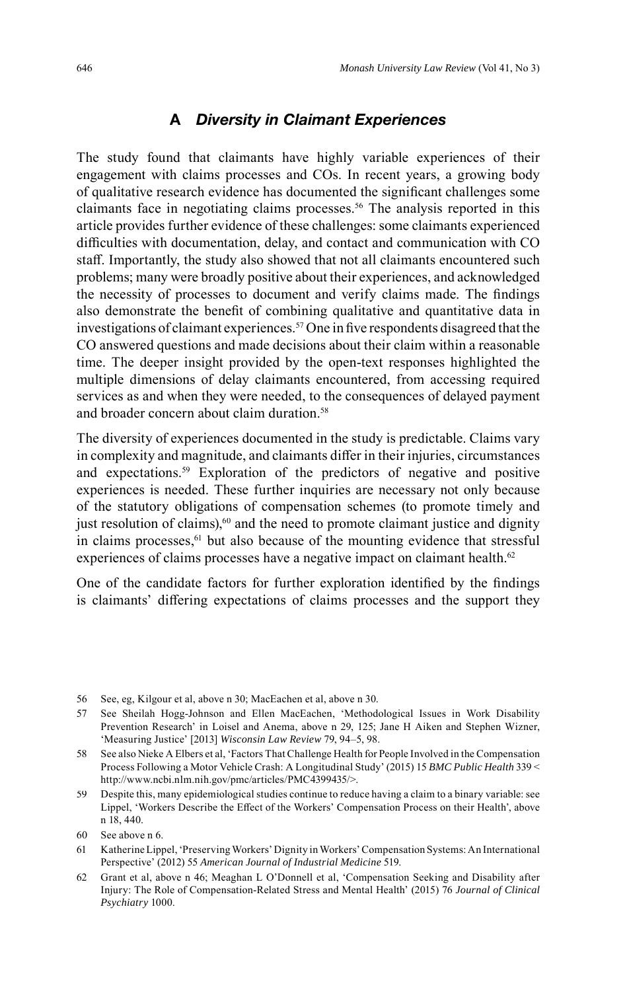#### **A** *Diversity in Claimant Experiences*

The study found that claimants have highly variable experiences of their engagement with claims processes and COs. In recent years, a growing body of qualitative research evidence has documented the significant challenges some claimants face in negotiating claims processes. 56 The analysis reported in this article provides further evidence of these challenges: some claimants experienced difficulties with documentation, delay, and contact and communication with CO staff. Importantly, the study also showed that not all claimants encountered such problems; many were broadly positive about their experiences, and acknowledged the necessity of processes to document and verify claims made. The findings also demonstrate the benefit of combining qualitative and quantitative data in investigations of claimant experiences.<sup>57</sup> One in five respondents disagreed that the CO answered questions and made decisions about their claim within a reasonable time. The deeper insight provided by the open-text responses highlighted the multiple dimensions of delay claimants encountered, from accessing required services as and when they were needed, to the consequences of delayed payment and broader concern about claim duration. 58

The diversity of experiences documented in the study is predictable. Claims vary in complexity and magnitude, and claimants differ in their injuries, circumstances and expectations. 59 Exploration of the predictors of negative and positive experiences is needed. These further inquiries are necessary not only because of the statutory obligations of compensation schemes (to promote timely and just resolution of claims), $60$  and the need to promote claimant justice and dignity in claims processes, <sup>61</sup> but also because of the mounting evidence that stressful experiences of claims processes have a negative impact on claimant health.<sup>62</sup>

One of the candidate factors for further exploration identified by the findings is claimants' differing expectations of claims processes and the support they

<sup>56</sup> See, eg, Kilgour et al, above n 30; MacEachen et al, above n 30.

<sup>57</sup> See Sheilah Hogg-Johnson and Ellen MacEachen, 'Methodological Issues in Work Disability Prevention Research' in Loisel and Anema, above n 29, 125; Jane H Aiken and Stephen Wizner, 'Measuring Justice' [2013] *Wisconsin Law Review* 79, 94–5, 98.

<sup>58</sup> See also Nieke A Elbers et al, 'Factors That Challenge Health for People Involved in the Compensation Process Following a Motor Vehicle Crash: A Longitudinal Study' (2015) 15 *BMC Public Health* 339 < http://www.ncbi.nlm.nih.gov/pmc/articles/PMC4399435/>.

<sup>59</sup> Despite this, many epidemiological studies continue to reduce having a claim to a binary variable: see Lippel, 'Workers Describe the Effect of the Workers' Compensation Process on their Health', above n 18, 440.

<sup>60</sup> See above n 6.

<sup>61</sup> Katherine Lippel, 'Preserving Workers' Dignity in Workers' Compensation Systems: An International Perspective' (2012) 55 *American Journal of Industrial Medicine* 519.

<sup>62</sup> Grant et al, above n 46; Meaghan L O'Donnell et al, 'Compensation Seeking and Disability after Injury: The Role of Compensation-Related Stress and Mental Health' (2015) 76 *Journal of Clinical Psychiatry* 1000.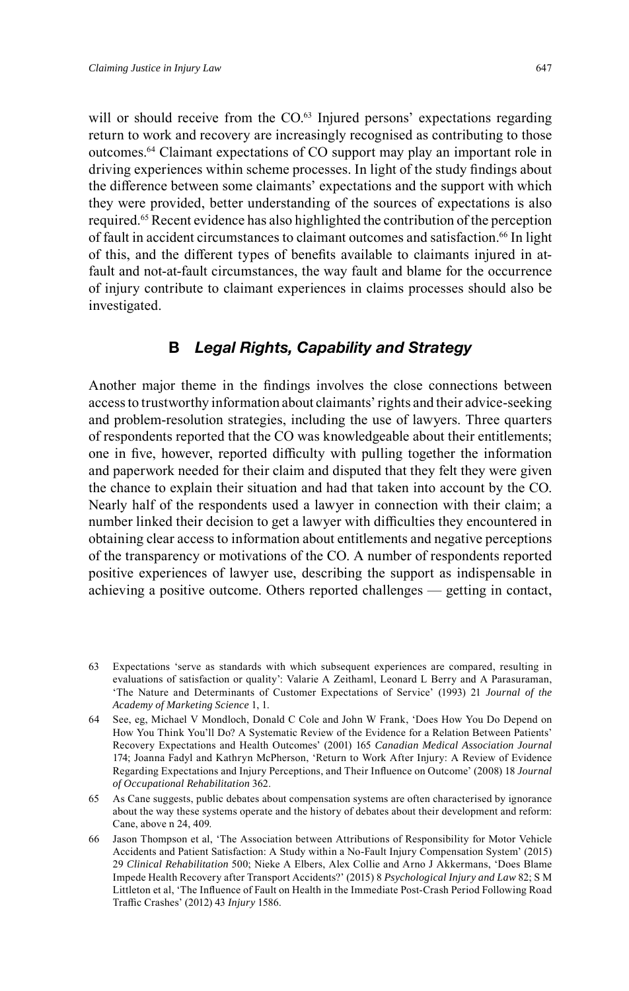will or should receive from the CO.<sup>63</sup> Injured persons' expectations regarding return to work and recovery are increasingly recognised as contributing to those outcomes.64 Claimant expectations of CO support may play an important role in driving experiences within scheme processes. In light of the study findings about the difference between some claimants' expectations and the support with which they were provided, better understanding of the sources of expectations is also required. 65 Recent evidence has also highlighted the contribution of the perception of fault in accident circumstances to claimant outcomes and satisfaction. 66 In light of this, and the different types of benefits available to claimants injured in atfault and not-at-fault circumstances, the way fault and blame for the occurrence of injury contribute to claimant experiences in claims processes should also be investigated.

#### **B** *Legal Rights, Capability and Strategy*

Another major theme in the findings involves the close connections between access to trustworthy information about claimants' rights and their advice-seeking and problem-resolution strategies, including the use of lawyers. Three quarters of respondents reported that the CO was knowledgeable about their entitlements; one in five, however, reported difficulty with pulling together the information and paperwork needed for their claim and disputed that they felt they were given the chance to explain their situation and had that taken into account by the CO. Nearly half of the respondents used a lawyer in connection with their claim; a number linked their decision to get a lawyer with difficulties they encountered in obtaining clear access to information about entitlements and negative perceptions of the transparency or motivations of the CO. A number of respondents reported positive experiences of lawyer use, describing the support as indispensable in achieving a positive outcome. Others reported challenges — getting in contact,

<sup>63</sup> Expectations 'serve as standards with which subsequent experiences are compared, resulting in evaluations of satisfaction or quality': Valarie A Zeithaml, Leonard L Berry and A Parasuraman, 'The Nature and Determinants of Customer Expectations of Service' (1993) 21 *Journal of the Academy of Marketing Science* 1, 1.

<sup>64</sup> See, eg, Michael V Mondloch, Donald C Cole and John W Frank, 'Does How You Do Depend on How You Think You'll Do? A Systematic Review of the Evidence for a Relation Between Patients' Recovery Expectations and Health Outcomes' (2001) 165 *Canadian Medical Association Journal* 174; Joanna Fadyl and Kathryn McPherson, 'Return to Work After Injury: A Review of Evidence Regarding Expectations and Injury Perceptions, and Their Influence on Outcome' (2008) 18 *Journal of Occupational Rehabilitation* 362.

<sup>65</sup> As Cane suggests, public debates about compensation systems are often characterised by ignorance about the way these systems operate and the history of debates about their development and reform: Cane, above n 24, 409.

<sup>66</sup> Jason Thompson et al, 'The Association between Attributions of Responsibility for Motor Vehicle Accidents and Patient Satisfaction: A Study within a No-Fault Injury Compensation System' (2015) 29 *Clinical Rehabilitation* 500; Nieke A Elbers, Alex Collie and Arno J Akkermans, 'Does Blame Impede Health Recovery after Transport Accidents?' (2015) 8 *Psychological Injury and Law* 82; S M Littleton et al, 'The Influence of Fault on Health in the Immediate Post-Crash Period Following Road Traffic Crashes' (2012) 43 *Injury* 1586.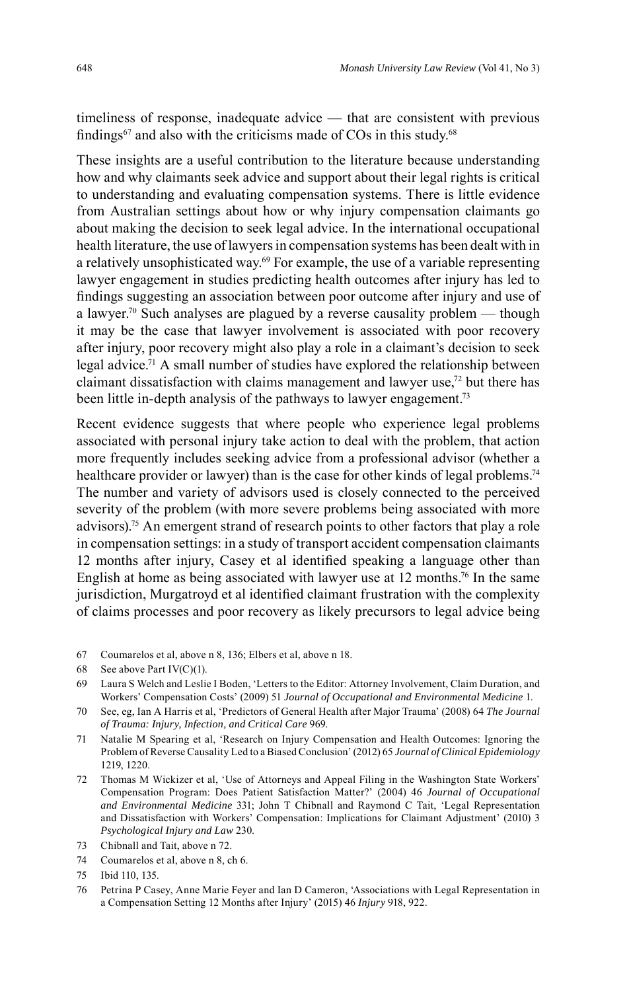timeliness of response, inadequate advice — that are consistent with previous findings<sup>67</sup> and also with the criticisms made of COs in this study.<sup>68</sup>

These insights are a useful contribution to the literature because understanding how and why claimants seek advice and support about their legal rights is critical to understanding and evaluating compensation systems. There is little evidence from Australian settings about how or why injury compensation claimants go about making the decision to seek legal advice. In the international occupational health literature, the use of lawyers in compensation systems has been dealt with in a relatively unsophisticated way. 69 For example, the use of a variable representing lawyer engagement in studies predicting health outcomes after injury has led to findings suggesting an association between poor outcome after injury and use of a lawyer. 70 Such analyses are plagued by a reverse causality problem — though it may be the case that lawyer involvement is associated with poor recovery after injury, poor recovery might also play a role in a claimant's decision to seek legal advice. 71 A small number of studies have explored the relationship between claimant dissatisfaction with claims management and lawyer use,72 but there has been little in-depth analysis of the pathways to lawyer engagement. 73

Recent evidence suggests that where people who experience legal problems associated with personal injury take action to deal with the problem, that action more frequently includes seeking advice from a professional advisor (whether a healthcare provider or lawyer) than is the case for other kinds of legal problems.<sup>74</sup> The number and variety of advisors used is closely connected to the perceived severity of the problem (with more severe problems being associated with more advisors).75 An emergent strand of research points to other factors that play a role in compensation settings: in a study of transport accident compensation claimants 12 months after injury, Casey et al identified speaking a language other than English at home as being associated with lawyer use at 12 months. 76 In the same jurisdiction, Murgatroyd et al identified claimant frustration with the complexity of claims processes and poor recovery as likely precursors to legal advice being

- 67 Coumarelos et al, above n 8, 136; Elbers et al, above n 18.
- 68 See above Part IV(C)(1).
- 69 Laura S Welch and Leslie I Boden, 'Letters to the Editor: Attorney Involvement, Claim Duration, and Workers' Compensation Costs' (2009) 51 *Journal of Occupational and Environmental Medicine* 1.
- 70 See, eg, Ian A Harris et al, 'Predictors of General Health after Major Trauma' (2008) 64 *The Journal of Trauma: Injury, Infection, and Critical Care* 969.
- 71 Natalie M Spearing et al, 'Research on Injury Compensation and Health Outcomes: Ignoring the Problem of Reverse Causality Led to a Biased Conclusion' (2012) 65 *Journal of Clinical Epidemiology* 1219, 1220.
- 72 Thomas M Wickizer et al, 'Use of Attorneys and Appeal Filing in the Washington State Workers' Compensation Program: Does Patient Satisfaction Matter?' (2004) 46 *Journal of Occupational and Environmental Medicine* 331; John T Chibnall and Raymond C Tait, 'Legal Representation and Dissatisfaction with Workers' Compensation: Implications for Claimant Adjustment' (2010) 3 *Psychological Injury and Law* 230.
- 73 Chibnall and Tait, above n 72.
- 74 Coumarelos et al, above n 8, ch 6.
- 75 Ibid 110, 135.
- 76 Petrina P Casey, Anne Marie Feyer and Ian D Cameron, 'Associations with Legal Representation in a Compensation Setting 12 Months after Injury' (2015) 46 *Injury* 918, 922.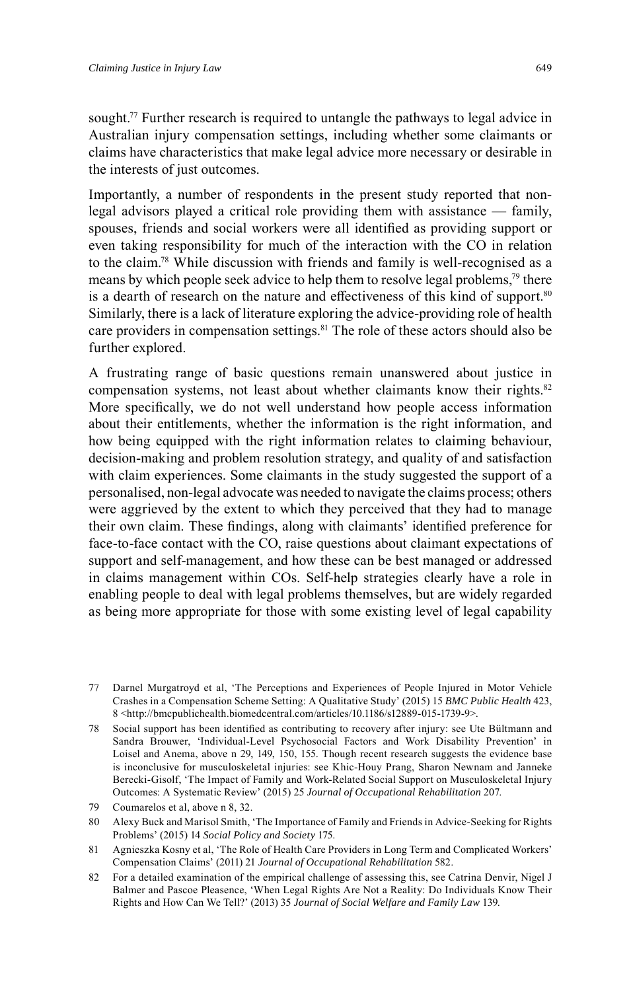sought. 77 Further research is required to untangle the pathways to legal advice in Australian injury compensation settings, including whether some claimants or claims have characteristics that make legal advice more necessary or desirable in the interests of just outcomes.

Importantly, a number of respondents in the present study reported that nonlegal advisors played a critical role providing them with assistance — family, spouses, friends and social workers were all identified as providing support or even taking responsibility for much of the interaction with the CO in relation to the claim. 78 While discussion with friends and family is well-recognised as a means by which people seek advice to help them to resolve legal problems,<sup>79</sup> there is a dearth of research on the nature and effectiveness of this kind of support.<sup>80</sup> Similarly, there is a lack of literature exploring the advice-providing role of health care providers in compensation settings. 81 The role of these actors should also be further explored.

A frustrating range of basic questions remain unanswered about justice in compensation systems, not least about whether claimants know their rights. 82 More specifically, we do not well understand how people access information about their entitlements, whether the information is the right information, and how being equipped with the right information relates to claiming behaviour, decision-making and problem resolution strategy, and quality of and satisfaction with claim experiences. Some claimants in the study suggested the support of a personalised, non-legal advocate was needed to navigate the claims process; others were aggrieved by the extent to which they perceived that they had to manage their own claim. These findings, along with claimants' identified preference for face-to-face contact with the CO, raise questions about claimant expectations of support and self-management, and how these can be best managed or addressed in claims management within COs. Self-help strategies clearly have a role in enabling people to deal with legal problems themselves, but are widely regarded as being more appropriate for those with some existing level of legal capability

<sup>77</sup> Darnel Murgatroyd et al, 'The Perceptions and Experiences of People Injured in Motor Vehicle Crashes in a Compensation Scheme Setting: A Qualitative Study' (2015) 15 *BMC Public Health* 423, 8 <http://bmcpublichealth.biomedcentral.com/articles/10.1186/s12889-015-1739-9>.

<sup>78</sup> Social support has been identified as contributing to recovery after injury: see Ute Bültmann and Sandra Brouwer, 'Individual-Level Psychosocial Factors and Work Disability Prevention' in Loisel and Anema, above n 29, 149, 150, 155. Though recent research suggests the evidence base is inconclusive for musculoskeletal injuries: see Khic-Houy Prang, Sharon Newnam and Janneke Berecki-Gisolf, 'The Impact of Family and Work-Related Social Support on Musculoskeletal Injury Outcomes: A Systematic Review' (2015) 25 *Journal of Occupational Rehabilitation* 207.

<sup>79</sup> Coumarelos et al, above n 8, 32.

<sup>80</sup> Alexy Buck and Marisol Smith, 'The Importance of Family and Friends in Advice-Seeking for Rights Problems' (2015) 14 *Social Policy and Society* 175.

<sup>81</sup> Agnieszka Kosny et al, 'The Role of Health Care Providers in Long Term and Complicated Workers' Compensation Claims' (2011) 21 *Journal of Occupational Rehabilitation* 582.

<sup>82</sup> For a detailed examination of the empirical challenge of assessing this, see Catrina Denvir, Nigel J Balmer and Pascoe Pleasence, 'When Legal Rights Are Not a Reality: Do Individuals Know Their Rights and How Can We Tell?' (2013) 35 *Journal of Social Welfare and Family Law* 139.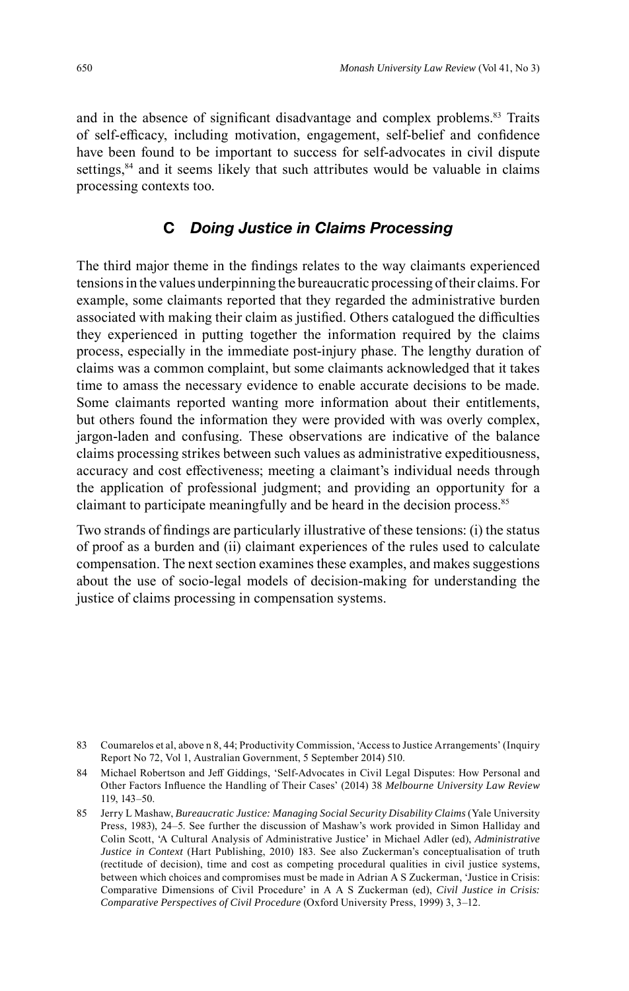and in the absence of significant disadvantage and complex problems.<sup>83</sup> Traits of self-efficacy, including motivation, engagement, self-belief and confidence have been found to be important to success for self-advocates in civil dispute settings,<sup>84</sup> and it seems likely that such attributes would be valuable in claims processing contexts too.

#### **C** *Doing Justice in Claims Processing*

The third major theme in the findings relates to the way claimants experienced tensions in the values underpinning the bureaucratic processing of their claims. For example, some claimants reported that they regarded the administrative burden associated with making their claim as justified. Others catalogued the difficulties they experienced in putting together the information required by the claims process, especially in the immediate post-injury phase. The lengthy duration of claims was a common complaint, but some claimants acknowledged that it takes time to amass the necessary evidence to enable accurate decisions to be made. Some claimants reported wanting more information about their entitlements, but others found the information they were provided with was overly complex, jargon-laden and confusing. These observations are indicative of the balance claims processing strikes between such values as administrative expeditiousness, accuracy and cost effectiveness; meeting a claimant's individual needs through the application of professional judgment; and providing an opportunity for a claimant to participate meaningfully and be heard in the decision process. 85

Two strands of findings are particularly illustrative of these tensions: (i) the status of proof as a burden and (ii) claimant experiences of the rules used to calculate compensation. The next section examines these examples, and makes suggestions about the use of socio-legal models of decision-making for understanding the justice of claims processing in compensation systems.

<sup>83</sup> Coumarelos et al, above n 8, 44; Productivity Commission, 'Access to Justice Arrangements' (Inquiry Report No 72, Vol 1, Australian Government, 5 September 2014) 510.

<sup>84</sup> Michael Robertson and Jeff Giddings, 'Self-Advocates in Civil Legal Disputes: How Personal and Other Factors Influence the Handling of Their Cases' (2014) 38 *Melbourne University Law Review* 119, 143–50.

<sup>85</sup> Jerry L Mashaw, *Bureaucratic Justice: Managing Social Security Disability Claims* (Yale University Press, 1983), 24–5. See further the discussion of Mashaw's work provided in Simon Halliday and Colin Scott, 'A Cultural Analysis of Administrative Justice' in Michael Adler (ed), *Administrative Justice in Context* (Hart Publishing, 2010) 183. See also Zuckerman's conceptualisation of truth (rectitude of decision), time and cost as competing procedural qualities in civil justice systems, between which choices and compromises must be made in Adrian A S Zuckerman, 'Justice in Crisis: Comparative Dimensions of Civil Procedure' in A A S Zuckerman (ed), *Civil Justice in Crisis: Comparative Perspectives of Civil Procedure* (Oxford University Press, 1999) 3, 3–12.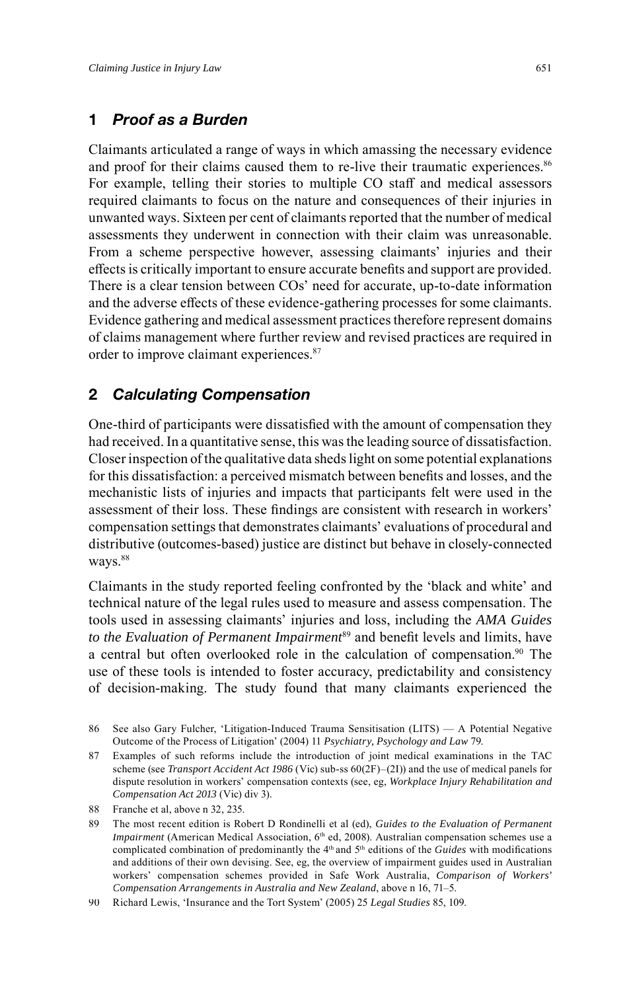## **1** *Proof as a Burden*

Claimants articulated a range of ways in which amassing the necessary evidence and proof for their claims caused them to re-live their traumatic experiences. 86 For example, telling their stories to multiple CO staff and medical assessors required claimants to focus on the nature and consequences of their injuries in unwanted ways. Sixteen per cent of claimants reported that the number of medical assessments they underwent in connection with their claim was unreasonable. From a scheme perspective however, assessing claimants' injuries and their effects is critically important to ensure accurate benefits and support are provided. There is a clear tension between COs' need for accurate, up-to-date information and the adverse effects of these evidence-gathering processes for some claimants. Evidence gathering and medical assessment practices therefore represent domains of claims management where further review and revised practices are required in order to improve claimant experiences. 87

## **2** *Calculating Compensation*

One-third of participants were dissatisfied with the amount of compensation they had received. In a quantitative sense, this was the leading source of dissatisfaction. Closer inspection of the qualitative data sheds light on some potential explanations for this dissatisfaction: a perceived mismatch between benefits and losses, and the mechanistic lists of injuries and impacts that participants felt were used in the assessment of their loss. These findings are consistent with research in workers' compensation settings that demonstrates claimants' evaluations of procedural and distributive (outcomes-based) justice are distinct but behave in closely-connected ways.<sup>88</sup>

Claimants in the study reported feeling confronted by the 'black and white' and technical nature of the legal rules used to measure and assess compensation. The tools used in assessing claimants' injuries and loss, including the *AMA Guides* to the Evaluation of Permanent Impairment<sup>89</sup> and benefit levels and limits, have a central but often overlooked role in the calculation of compensation. 90 The use of these tools is intended to foster accuracy, predictability and consistency of decision-making. The study found that many claimants experienced the

<sup>86</sup> See also Gary Fulcher, 'Litigation-Induced Trauma Sensitisation (LITS) — A Potential Negative Outcome of the Process of Litigation' (2004) 11 *Psychiatry, Psychology and Law* 79.

<sup>87</sup> Examples of such reforms include the introduction of joint medical examinations in the TAC scheme (see *Transport Accident Act 1986* (Vic) sub-ss 60(2F)–(2I)) and the use of medical panels for dispute resolution in workers' compensation contexts (see, eg, *Workplace Injury Rehabilitation and Compensation Act 2013* (Vic) div 3).

<sup>88</sup> Franche et al, above n 32, 235.

<sup>89</sup> The most recent edition is Robert D Rondinelli et al (ed), *Guides to the Evaluation of Permanent Impairment* (American Medical Association, 6<sup>th</sup> ed, 2008). Australian compensation schemes use a complicated combination of predominantly the 4th and 5th editions of the *Guides* with modifications and additions of their own devising. See, eg, the overview of impairment guides used in Australian workers' compensation schemes provided in Safe Work Australia, *Comparison of Workers' Compensation Arrangements in Australia and New Zealand*, above n 16, 71–5.

<sup>90</sup> Richard Lewis, 'Insurance and the Tort System' (2005) 25 *Legal Studies* 85, 109.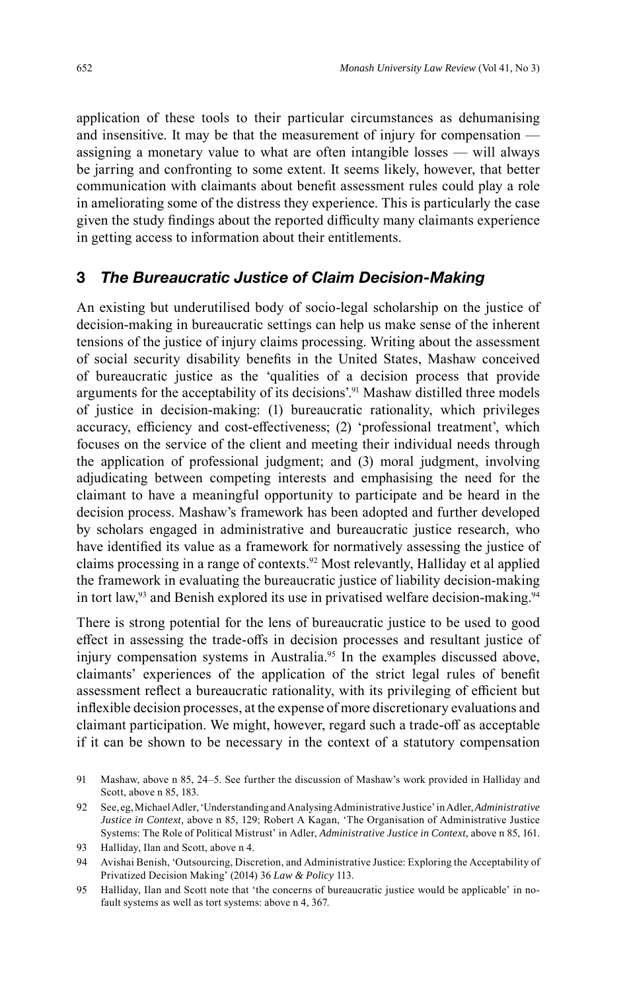application of these tools to their particular circumstances as dehumanising and insensitive. It may be that the measurement of injury for compensation assigning a monetary value to what are often intangible losses — will always be jarring and confronting to some extent. It seems likely, however, that better communication with claimants about benefit assessment rules could play a role in ameliorating some of the distress they experience. This is particularly the case given the study findings about the reported difficulty many claimants experience in getting access to information about their entitlements.

#### **3** *The Bureaucratic Justice of Claim Decision-Making*

An existing but underutilised body of socio-legal scholarship on the justice of decision-making in bureaucratic settings can help us make sense of the inherent tensions of the justice of injury claims processing. Writing about the assessment of social security disability benefits in the United States, Mashaw conceived of bureaucratic justice as the 'qualities of a decision process that provide arguments for the acceptability of its decisions'. 91 Mashaw distilled three models of justice in decision-making: (1) bureaucratic rationality, which privileges accuracy, efficiency and cost-effectiveness; (2) 'professional treatment', which focuses on the service of the client and meeting their individual needs through the application of professional judgment; and (3) moral judgment, involving adjudicating between competing interests and emphasising the need for the claimant to have a meaningful opportunity to participate and be heard in the decision process. Mashaw's framework has been adopted and further developed by scholars engaged in administrative and bureaucratic justice research, who have identified its value as a framework for normatively assessing the justice of claims processing in a range of contexts. 92 Most relevantly, Halliday et al applied the framework in evaluating the bureaucratic justice of liability decision-making in tort law,<sup>93</sup> and Benish explored its use in privatised welfare decision-making.<sup>94</sup>

There is strong potential for the lens of bureaucratic justice to be used to good effect in assessing the trade-offs in decision processes and resultant justice of injury compensation systems in Australia. 95 In the examples discussed above, claimants' experiences of the application of the strict legal rules of benefit assessment reflect a bureaucratic rationality, with its privileging of efficient but inflexible decision processes, at the expense of more discretionary evaluations and claimant participation. We might, however, regard such a trade-off as acceptable if it can be shown to be necessary in the context of a statutory compensation

<sup>91</sup> Mashaw, above n 85, 24–5. See further the discussion of Mashaw's work provided in Halliday and Scott, above n 85, 183.

<sup>92</sup> See, eg, Michael Adler, 'Understanding and Analysing Administrative Justice' in Adler,*Administrative Justice in Context,* above n 85, 129; Robert A Kagan, 'The Organisation of Administrative Justice Systems: The Role of Political Mistrust' in Adler, *Administrative Justice in Context*, above n 85, 161.

<sup>93</sup> Halliday, Ilan and Scott, above n 4.

<sup>94</sup> Avishai Benish, 'Outsourcing, Discretion, and Administrative Justice: Exploring the Acceptability of Privatized Decision Making' (2014) 36 *Law & Policy* 113.

<sup>95</sup> Halliday, Ilan and Scott note that 'the concerns of bureaucratic justice would be applicable' in nofault systems as well as tort systems: above n 4, 367.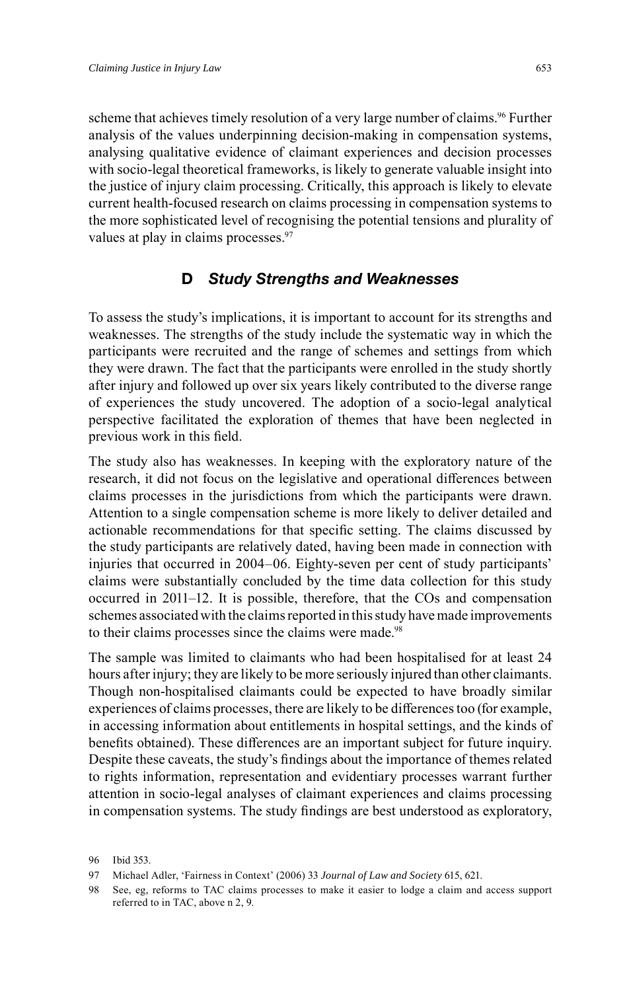scheme that achieves timely resolution of a very large number of claims. 96 Further analysis of the values underpinning decision-making in compensation systems, analysing qualitative evidence of claimant experiences and decision processes with socio-legal theoretical frameworks, is likely to generate valuable insight into the justice of injury claim processing. Critically, this approach is likely to elevate current health-focused research on claims processing in compensation systems to the more sophisticated level of recognising the potential tensions and plurality of values at play in claims processes. 97

### **D** *Study Strengths and Weaknesses*

To assess the study's implications, it is important to account for its strengths and weaknesses. The strengths of the study include the systematic way in which the participants were recruited and the range of schemes and settings from which they were drawn. The fact that the participants were enrolled in the study shortly after injury and followed up over six years likely contributed to the diverse range of experiences the study uncovered. The adoption of a socio-legal analytical perspective facilitated the exploration of themes that have been neglected in previous work in this field.

The study also has weaknesses. In keeping with the exploratory nature of the research, it did not focus on the legislative and operational differences between claims processes in the jurisdictions from which the participants were drawn. Attention to a single compensation scheme is more likely to deliver detailed and actionable recommendations for that specific setting. The claims discussed by the study participants are relatively dated, having been made in connection with injuries that occurred in 2004–06. Eighty-seven per cent of study participants' claims were substantially concluded by the time data collection for this study occurred in 2011–12. It is possible, therefore, that the COs and compensation schemes associated with the claims reported in this study have made improvements to their claims processes since the claims were made.<sup>98</sup>

The sample was limited to claimants who had been hospitalised for at least 24 hours after injury; they are likely to be more seriously injured than other claimants. Though non-hospitalised claimants could be expected to have broadly similar experiences of claims processes, there are likely to be differences too (for example, in accessing information about entitlements in hospital settings, and the kinds of benefits obtained). These differences are an important subject for future inquiry. Despite these caveats, the study's findings about the importance of themes related to rights information, representation and evidentiary processes warrant further attention in socio-legal analyses of claimant experiences and claims processing in compensation systems. The study findings are best understood as exploratory,

<sup>96</sup> Ibid 353.

<sup>97</sup> Michael Adler, 'Fairness in Context' (2006) 33 *Journal of Law and Society* 615, 621.

<sup>98</sup> See, eg, reforms to TAC claims processes to make it easier to lodge a claim and access support referred to in TAC, above n 2, 9.